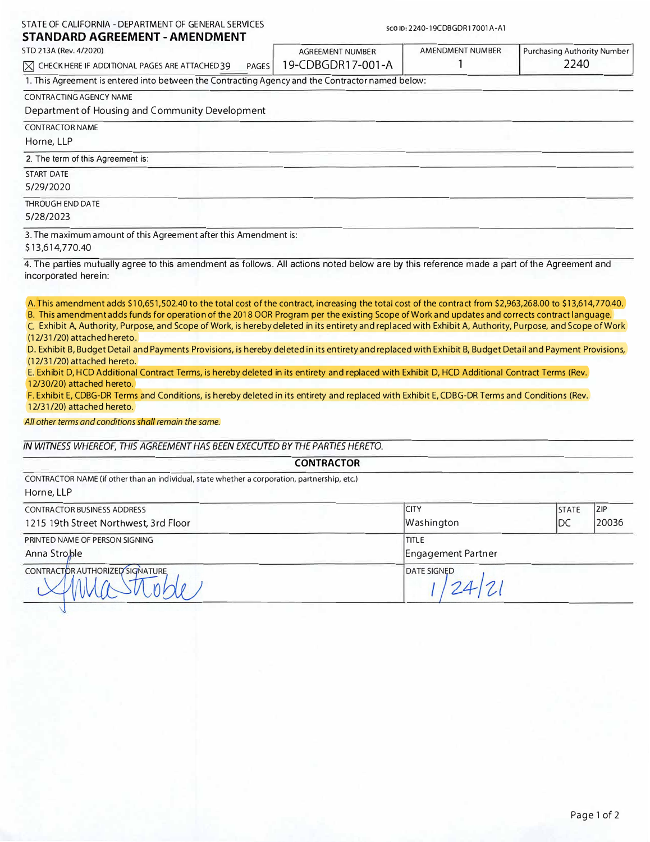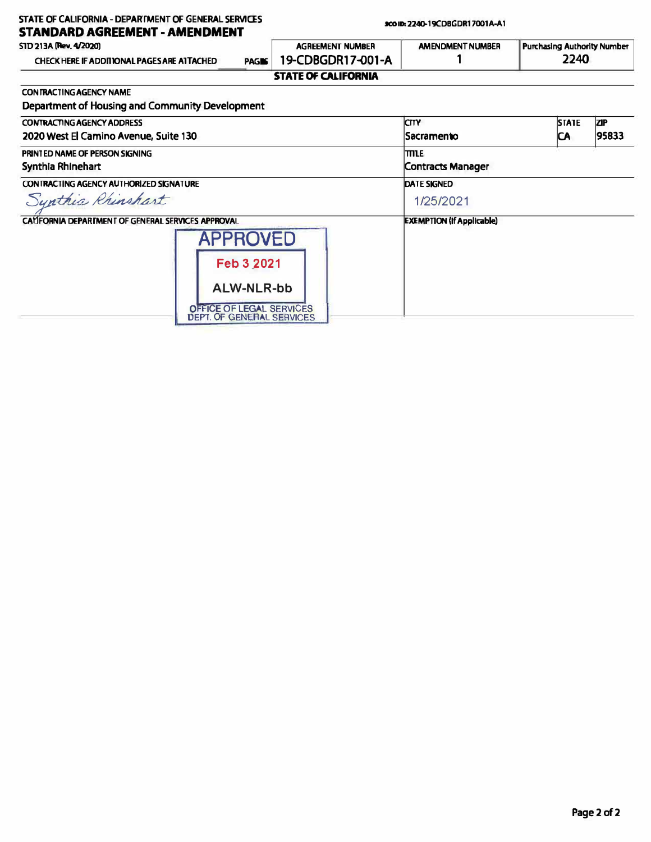| STATE OF CALIFORNIA - DEPARTMENT OF GENERAL SERVICES<br><b>STANDARD AGREEMENT - AMENDMENT</b> | 9001D: 2240-19CDBGDR17001A-A1 |                                  |                                            |            |
|-----------------------------------------------------------------------------------------------|-------------------------------|----------------------------------|--------------------------------------------|------------|
| STD 213A (Rev. 4/2020)                                                                        | <b>AGREEMENT NUMBER</b>       | <b>AMENDMENT NUMBER</b>          | <b>Purchasing Authority Number</b><br>2240 |            |
| <b>CHECK HERE IF ADDITIONAL PAGES ARE ATTACHED</b><br><b>PAGIS</b>                            | 19-CDBGDR17-001-A             |                                  |                                            |            |
|                                                                                               | <b>STATE OF CALIFORNIA</b>    |                                  |                                            |            |
| CON TRACTING AGENCY NAME                                                                      |                               |                                  |                                            |            |
| Department of Housing and Community Development                                               |                               |                                  |                                            |            |
| <b>CONTRACTING AGENCY ADDRESS</b>                                                             |                               | <b>ICITY</b>                     | <b>STATE</b>                               | <b>ZIP</b> |
| 2020 West El Camino Avenue, Suite 130                                                         |                               | <b>Sacramento</b>                | CA                                         | 95833      |
| PRINTED NAME OF PERSON SIGNING                                                                |                               | TTILE                            |                                            |            |
| Synthia Rhinehart                                                                             |                               | Contracts Manager                |                                            |            |
| CONTRACTING AGENCY AUTHORIZED SIGNATURE                                                       |                               | <b>DATE SIGNED</b>               |                                            |            |
| Synthia Rhinshart                                                                             |                               | 1/25/2021                        |                                            |            |
| CALIFORNIA DEPARTMENT OF GENERAL SERVICES APPROVAL                                            |                               | <b>EXEMPTION (If Applicable)</b> |                                            |            |
| <b>APPROVED</b>                                                                               |                               |                                  |                                            |            |
| Feb 3 2021                                                                                    |                               |                                  |                                            |            |
| <b>ALW-NLR-bb</b>                                                                             |                               |                                  |                                            |            |
| OFFICE OF LEGAL SERVICES<br><b>DEPT. OF GENERAL SERVICES</b>                                  |                               |                                  |                                            |            |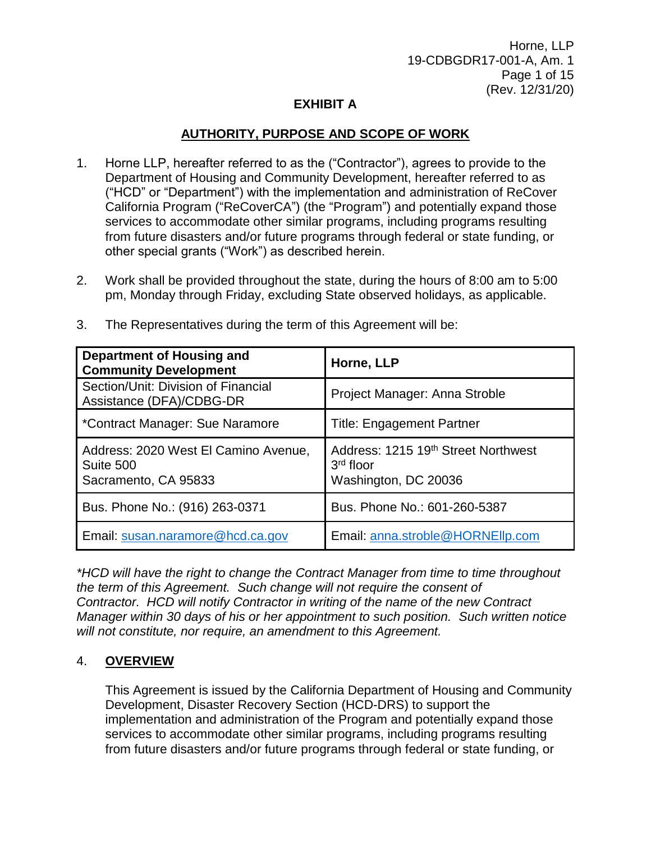Horne, LLP 19-CDBGDR17-001-A, Am. 1 Page 1 of 15 (Rev. 12/31/20)

## **EXHIBIT A**

## **AUTHORITY, PURPOSE AND SCOPE OF WORK**

- 1. Horne LLP, hereafter referred to as the ("Contractor"), agrees to provide to the Department of Housing and Community Development, hereafter referred to as ("HCD" or "Department") with the implementation and administration of ReCover California Program ("ReCoverCA") (the "Program") and potentially expand those services to accommodate other similar programs, including programs resulting from future disasters and/or future programs through federal or state funding, or other special grants ("Work") as described herein.
- 2. Work shall be provided throughout the state, during the hours of 8:00 am to 5:00 pm, Monday through Friday, excluding State observed holidays, as applicable.

| Department of Housing and<br><b>Community Development</b>                 | Horne, LLP                                                                             |  |
|---------------------------------------------------------------------------|----------------------------------------------------------------------------------------|--|
| Section/Unit: Division of Financial<br>Assistance (DFA)/CDBG-DR           | Project Manager: Anna Stroble                                                          |  |
| *Contract Manager: Sue Naramore                                           | <b>Title: Engagement Partner</b>                                                       |  |
| Address: 2020 West El Camino Avenue,<br>Suite 500<br>Sacramento, CA 95833 | Address: 1215 19 <sup>th</sup> Street Northwest<br>$3rd$ floor<br>Washington, DC 20036 |  |
| Bus. Phone No.: (916) 263-0371                                            | Bus. Phone No.: 601-260-5387                                                           |  |
| Email: susan.naramore@hcd.ca.gov                                          | Email: anna.stroble@HORNEllp.com                                                       |  |

3. The Representatives during the term of this Agreement will be:

*\*HCD will have the right to change the Contract Manager from time to time throughout the term of this Agreement. Such change will not require the consent of Contractor. HCD will notify Contractor in writing of the name of the new Contract Manager within 30 days of his or her appointment to such position. Such written notice will not constitute, nor require, an amendment to this Agreement.*

## 4. **OVERVIEW**

This Agreement is issued by the California Department of Housing and Community Development, Disaster Recovery Section (HCD-DRS) to support the implementation and administration of the Program and potentially expand those services to accommodate other similar programs, including programs resulting from future disasters and/or future programs through federal or state funding, or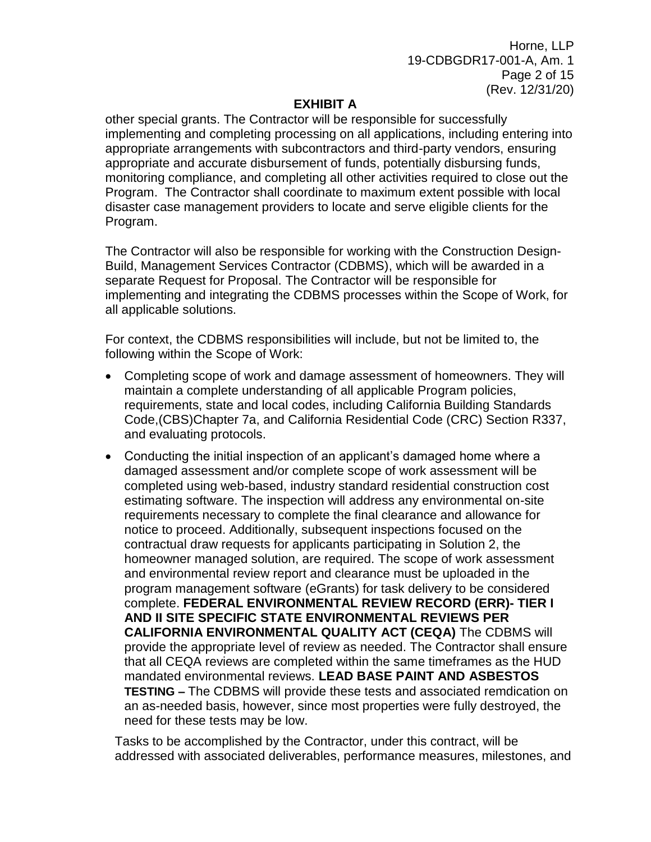Horne, LLP 19-CDBGDR17-001-A, Am. 1 Page 2 of 15 (Rev. 12/31/20)

## **EXHIBIT A**

other special grants. The Contractor will be responsible for successfully implementing and completing processing on all applications, including entering into appropriate arrangements with subcontractors and third-party vendors, ensuring appropriate and accurate disbursement of funds, potentially disbursing funds, monitoring compliance, and completing all other activities required to close out the Program. The Contractor shall coordinate to maximum extent possible with local disaster case management providers to locate and serve eligible clients for the Program.

The Contractor will also be responsible for working with the Construction Design-Build, Management Services Contractor (CDBMS), which will be awarded in a separate Request for Proposal. The Contractor will be responsible for implementing and integrating the CDBMS processes within the Scope of Work, for all applicable solutions.

For context, the CDBMS responsibilities will include, but not be limited to, the following within the Scope of Work:

- Completing scope of work and damage assessment of homeowners. They will maintain a complete understanding of all applicable Program policies, requirements, state and local codes, including California Building Standards Code,(CBS)Chapter 7a, and California Residential Code (CRC) Section R337, and evaluating protocols.
- Conducting the initial inspection of an applicant's damaged home where a damaged assessment and/or complete scope of work assessment will be completed using web-based, industry standard residential construction cost estimating software. The inspection will address any environmental on-site requirements necessary to complete the final clearance and allowance for notice to proceed. Additionally, subsequent inspections focused on the contractual draw requests for applicants participating in Solution 2, the homeowner managed solution, are required. The scope of work assessment and environmental review report and clearance must be uploaded in the program management software (eGrants) for task delivery to be considered complete. **FEDERAL ENVIRONMENTAL REVIEW RECORD (ERR)- TIER I AND II SITE SPECIFIC STATE ENVIRONMENTAL REVIEWS PER CALIFORNIA ENVIRONMENTAL QUALITY ACT (CEQA)** The CDBMS will provide the appropriate level of review as needed. The Contractor shall ensure that all CEQA reviews are completed within the same timeframes as the HUD mandated environmental reviews. **LEAD BASE PAINT AND ASBESTOS TESTING –** The CDBMS will provide these tests and associated remdication on an as-needed basis, however, since most properties were fully destroyed, the need for these tests may be low.

Tasks to be accomplished by the Contractor, under this contract, will be addressed with associated deliverables, performance measures, milestones, and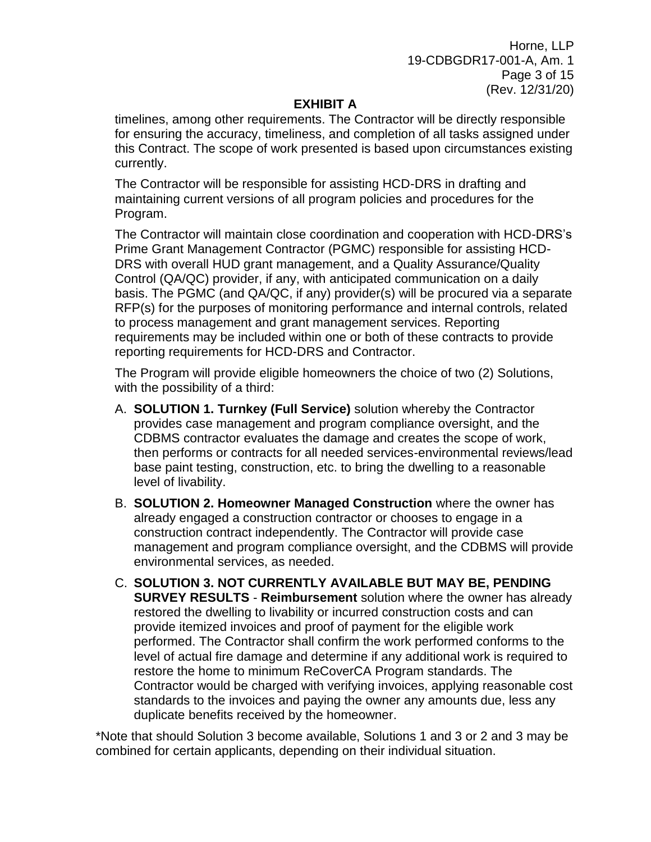Horne, LLP 19-CDBGDR17-001-A, Am. 1 Page 3 of 15 (Rev. 12/31/20)

## **EXHIBIT A**

timelines, among other requirements. The Contractor will be directly responsible for ensuring the accuracy, timeliness, and completion of all tasks assigned under this Contract. The scope of work presented is based upon circumstances existing currently.

The Contractor will be responsible for assisting HCD-DRS in drafting and maintaining current versions of all program policies and procedures for the Program.

The Contractor will maintain close coordination and cooperation with HCD-DRS's Prime Grant Management Contractor (PGMC) responsible for assisting HCD-DRS with overall HUD grant management, and a Quality Assurance/Quality Control (QA/QC) provider, if any, with anticipated communication on a daily basis. The PGMC (and QA/QC, if any) provider(s) will be procured via a separate RFP(s) for the purposes of monitoring performance and internal controls, related to process management and grant management services. Reporting requirements may be included within one or both of these contracts to provide reporting requirements for HCD-DRS and Contractor.

The Program will provide eligible homeowners the choice of two (2) Solutions, with the possibility of a third:

- A. **SOLUTION 1. Turnkey (Full Service)** solution whereby the Contractor provides case management and program compliance oversight, and the CDBMS contractor evaluates the damage and creates the scope of work, then performs or contracts for all needed services-environmental reviews/lead base paint testing, construction, etc. to bring the dwelling to a reasonable level of livability.
- B. **SOLUTION 2. Homeowner Managed Construction** where the owner has already engaged a construction contractor or chooses to engage in a construction contract independently. The Contractor will provide case management and program compliance oversight, and the CDBMS will provide environmental services, as needed.
- C. **SOLUTION 3. NOT CURRENTLY AVAILABLE BUT MAY BE, PENDING SURVEY RESULTS** - **Reimbursement** solution where the owner has already restored the dwelling to livability or incurred construction costs and can provide itemized invoices and proof of payment for the eligible work performed. The Contractor shall confirm the work performed conforms to the level of actual fire damage and determine if any additional work is required to restore the home to minimum ReCoverCA Program standards. The Contractor would be charged with verifying invoices, applying reasonable cost standards to the invoices and paying the owner any amounts due, less any duplicate benefits received by the homeowner.

\*Note that should Solution 3 become available, Solutions 1 and 3 or 2 and 3 may be combined for certain applicants, depending on their individual situation.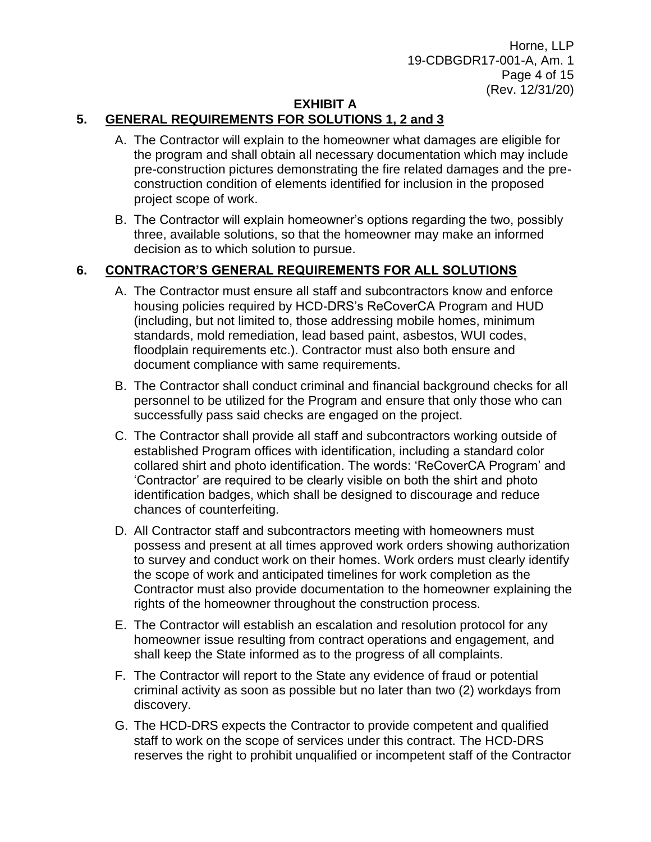Horne, LLP 19-CDBGDR17-001-A, Am. 1 Page 4 of 15 (Rev. 12/31/20)

## **EXHIBIT A**

# **5. GENERAL REQUIREMENTS FOR SOLUTIONS 1, 2 and 3**

- A. The Contractor will explain to the homeowner what damages are eligible for the program and shall obtain all necessary documentation which may include pre-construction pictures demonstrating the fire related damages and the preconstruction condition of elements identified for inclusion in the proposed project scope of work.
- B. The Contractor will explain homeowner's options regarding the two, possibly three, available solutions, so that the homeowner may make an informed decision as to which solution to pursue.

## **6. CONTRACTOR'S GENERAL REQUIREMENTS FOR ALL SOLUTIONS**

- A. The Contractor must ensure all staff and subcontractors know and enforce housing policies required by HCD-DRS's ReCoverCA Program and HUD (including, but not limited to, those addressing mobile homes, minimum standards, mold remediation, lead based paint, asbestos, WUI codes, floodplain requirements etc.). Contractor must also both ensure and document compliance with same requirements.
- B. The Contractor shall conduct criminal and financial background checks for all personnel to be utilized for the Program and ensure that only those who can successfully pass said checks are engaged on the project.
- C. The Contractor shall provide all staff and subcontractors working outside of established Program offices with identification, including a standard color collared shirt and photo identification. The words: 'ReCoverCA Program' and 'Contractor' are required to be clearly visible on both the shirt and photo identification badges, which shall be designed to discourage and reduce chances of counterfeiting.
- D. All Contractor staff and subcontractors meeting with homeowners must possess and present at all times approved work orders showing authorization to survey and conduct work on their homes. Work orders must clearly identify the scope of work and anticipated timelines for work completion as the Contractor must also provide documentation to the homeowner explaining the rights of the homeowner throughout the construction process.
- E. The Contractor will establish an escalation and resolution protocol for any homeowner issue resulting from contract operations and engagement, and shall keep the State informed as to the progress of all complaints.
- F. The Contractor will report to the State any evidence of fraud or potential criminal activity as soon as possible but no later than two (2) workdays from discovery.
- G. The HCD-DRS expects the Contractor to provide competent and qualified staff to work on the scope of services under this contract. The HCD-DRS reserves the right to prohibit unqualified or incompetent staff of the Contractor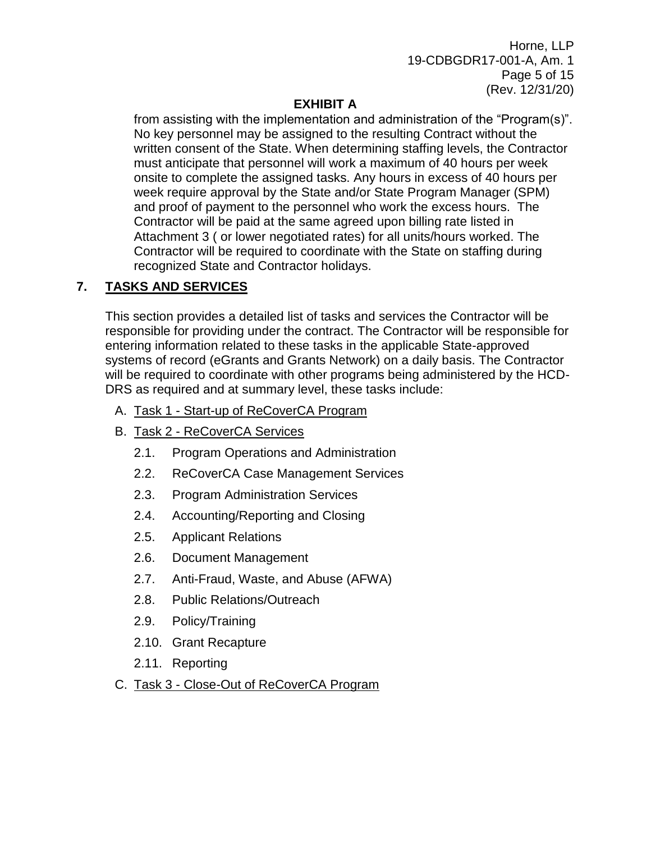Horne, LLP 19-CDBGDR17-001-A, Am. 1 Page 5 of 15 (Rev. 12/31/20)

# **EXHIBIT A**

from assisting with the implementation and administration of the "Program(s)". No key personnel may be assigned to the resulting Contract without the written consent of the State. When determining staffing levels, the Contractor must anticipate that personnel will work a maximum of 40 hours per week onsite to complete the assigned tasks. Any hours in excess of 40 hours per week require approval by the State and/or State Program Manager (SPM) and proof of payment to the personnel who work the excess hours. The Contractor will be paid at the same agreed upon billing rate listed in Attachment 3 ( or lower negotiated rates) for all units/hours worked. The Contractor will be required to coordinate with the State on staffing during recognized State and Contractor holidays.

# **7. TASKS AND SERVICES**

This section provides a detailed list of tasks and services the Contractor will be responsible for providing under the contract. The Contractor will be responsible for entering information related to these tasks in the applicable State-approved systems of record (eGrants and Grants Network) on a daily basis. The Contractor will be required to coordinate with other programs being administered by the HCD-DRS as required and at summary level, these tasks include:

- A. Task 1 Start-up of ReCoverCA Program
- B. Task 2 ReCoverCA Services
	- 2.1. Program Operations and Administration
	- 2.2. ReCoverCA Case Management Services
	- 2.3. Program Administration Services
	- 2.4. Accounting/Reporting and Closing
	- 2.5. Applicant Relations
	- 2.6. Document Management
	- 2.7. Anti-Fraud, Waste, and Abuse (AFWA)
	- 2.8. Public Relations/Outreach
	- 2.9. Policy/Training
	- 2.10. Grant Recapture
	- 2.11. Reporting
- C. Task 3 Close-Out of ReCoverCA Program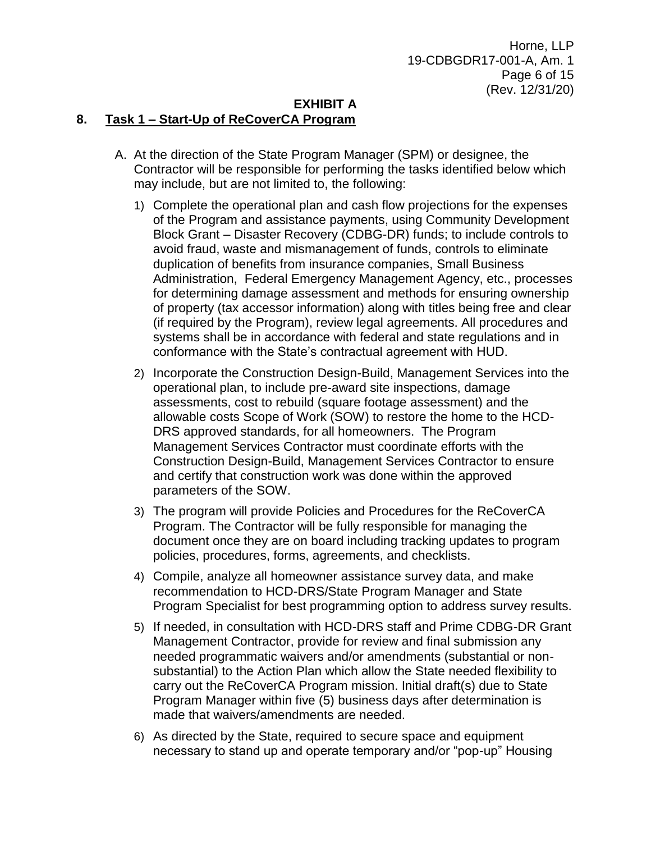#### **EXHIBIT A**

## **8. Task 1 – Start-Up of ReCoverCA Program**

- A. At the direction of the State Program Manager (SPM) or designee, the Contractor will be responsible for performing the tasks identified below which may include, but are not limited to, the following:
	- 1) Complete the operational plan and cash flow projections for the expenses of the Program and assistance payments, using Community Development Block Grant – Disaster Recovery (CDBG-DR) funds; to include controls to avoid fraud, waste and mismanagement of funds, controls to eliminate duplication of benefits from insurance companies, Small Business Administration, Federal Emergency Management Agency, etc., processes for determining damage assessment and methods for ensuring ownership of property (tax accessor information) along with titles being free and clear (if required by the Program), review legal agreements. All procedures and systems shall be in accordance with federal and state regulations and in conformance with the State's contractual agreement with HUD.
	- 2) Incorporate the Construction Design-Build, Management Services into the operational plan, to include pre-award site inspections, damage assessments, cost to rebuild (square footage assessment) and the allowable costs Scope of Work (SOW) to restore the home to the HCD-DRS approved standards, for all homeowners. The Program Management Services Contractor must coordinate efforts with the Construction Design-Build, Management Services Contractor to ensure and certify that construction work was done within the approved parameters of the SOW.
	- 3) The program will provide Policies and Procedures for the ReCoverCA Program. The Contractor will be fully responsible for managing the document once they are on board including tracking updates to program policies, procedures, forms, agreements, and checklists.
	- 4) Compile, analyze all homeowner assistance survey data, and make recommendation to HCD-DRS/State Program Manager and State Program Specialist for best programming option to address survey results.
	- 5) If needed, in consultation with HCD-DRS staff and Prime CDBG-DR Grant Management Contractor, provide for review and final submission any needed programmatic waivers and/or amendments (substantial or nonsubstantial) to the Action Plan which allow the State needed flexibility to carry out the ReCoverCA Program mission. Initial draft(s) due to State Program Manager within five (5) business days after determination is made that waivers/amendments are needed.
	- 6) As directed by the State, required to secure space and equipment necessary to stand up and operate temporary and/or "pop-up" Housing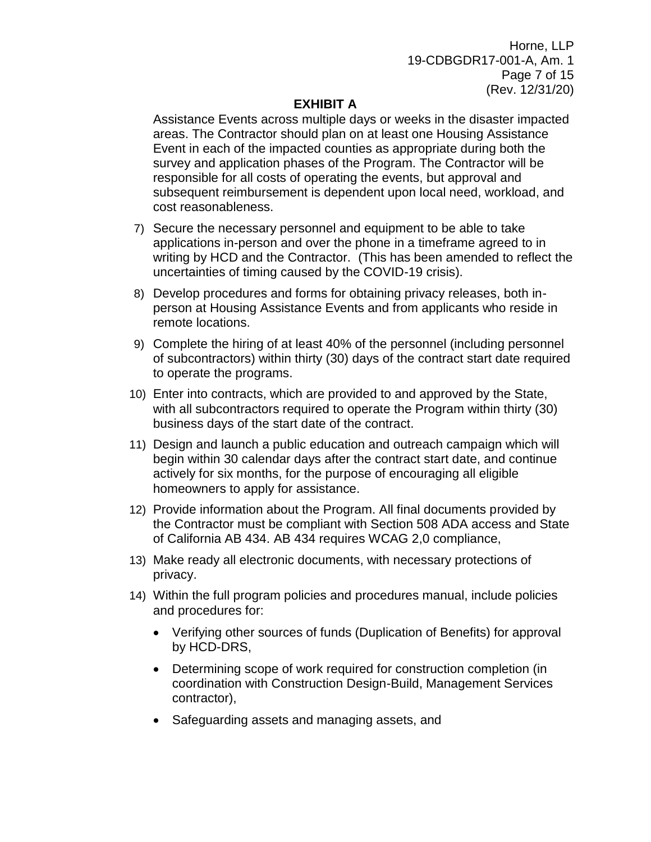Horne, LLP 19-CDBGDR17-001-A, Am. 1 Page 7 of 15 (Rev. 12/31/20)

## **EXHIBIT A**

Assistance Events across multiple days or weeks in the disaster impacted areas. The Contractor should plan on at least one Housing Assistance Event in each of the impacted counties as appropriate during both the survey and application phases of the Program. The Contractor will be responsible for all costs of operating the events, but approval and subsequent reimbursement is dependent upon local need, workload, and cost reasonableness.

- 7) Secure the necessary personnel and equipment to be able to take applications in-person and over the phone in a timeframe agreed to in writing by HCD and the Contractor. (This has been amended to reflect the uncertainties of timing caused by the COVID-19 crisis).
- 8) Develop procedures and forms for obtaining privacy releases, both inperson at Housing Assistance Events and from applicants who reside in remote locations.
- 9) Complete the hiring of at least 40% of the personnel (including personnel of subcontractors) within thirty (30) days of the contract start date required to operate the programs.
- 10) Enter into contracts, which are provided to and approved by the State, with all subcontractors required to operate the Program within thirty (30) business days of the start date of the contract.
- 11) Design and launch a public education and outreach campaign which will begin within 30 calendar days after the contract start date, and continue actively for six months, for the purpose of encouraging all eligible homeowners to apply for assistance.
- 12) Provide information about the Program. All final documents provided by the Contractor must be compliant with Section 508 ADA access and State of California AB 434. AB 434 requires WCAG 2,0 compliance,
- 13) Make ready all electronic documents, with necessary protections of privacy.
- 14) Within the full program policies and procedures manual, include policies and procedures for:
	- Verifying other sources of funds (Duplication of Benefits) for approval by HCD-DRS,
	- Determining scope of work required for construction completion (in coordination with Construction Design-Build, Management Services contractor),
	- Safeguarding assets and managing assets, and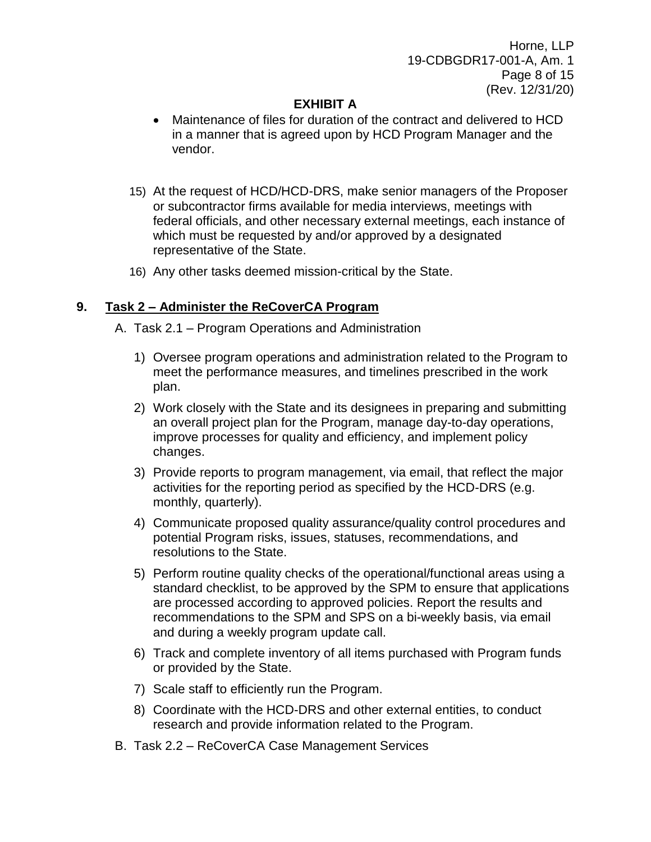Horne, LLP 19-CDBGDR17-001-A, Am. 1 Page 8 of 15 (Rev. 12/31/20)

## **EXHIBIT A**

- Maintenance of files for duration of the contract and delivered to HCD in a manner that is agreed upon by HCD Program Manager and the vendor.
- 15) At the request of HCD/HCD-DRS, make senior managers of the Proposer or subcontractor firms available for media interviews, meetings with federal officials, and other necessary external meetings, each instance of which must be requested by and/or approved by a designated representative of the State.
- 16) Any other tasks deemed mission-critical by the State.

## **9. Task 2 – Administer the ReCoverCA Program**

- A. Task 2.1 Program Operations and Administration
	- 1) Oversee program operations and administration related to the Program to meet the performance measures, and timelines prescribed in the work plan.
	- 2) Work closely with the State and its designees in preparing and submitting an overall project plan for the Program, manage day-to-day operations, improve processes for quality and efficiency, and implement policy changes.
	- 3) Provide reports to program management, via email, that reflect the major activities for the reporting period as specified by the HCD-DRS (e.g. monthly, quarterly).
	- 4) Communicate proposed quality assurance/quality control procedures and potential Program risks, issues, statuses, recommendations, and resolutions to the State.
	- 5) Perform routine quality checks of the operational/functional areas using a standard checklist, to be approved by the SPM to ensure that applications are processed according to approved policies. Report the results and recommendations to the SPM and SPS on a bi-weekly basis, via email and during a weekly program update call.
	- 6) Track and complete inventory of all items purchased with Program funds or provided by the State.
	- 7) Scale staff to efficiently run the Program.
	- 8) Coordinate with the HCD-DRS and other external entities, to conduct research and provide information related to the Program.
- B. Task 2.2 ReCoverCA Case Management Services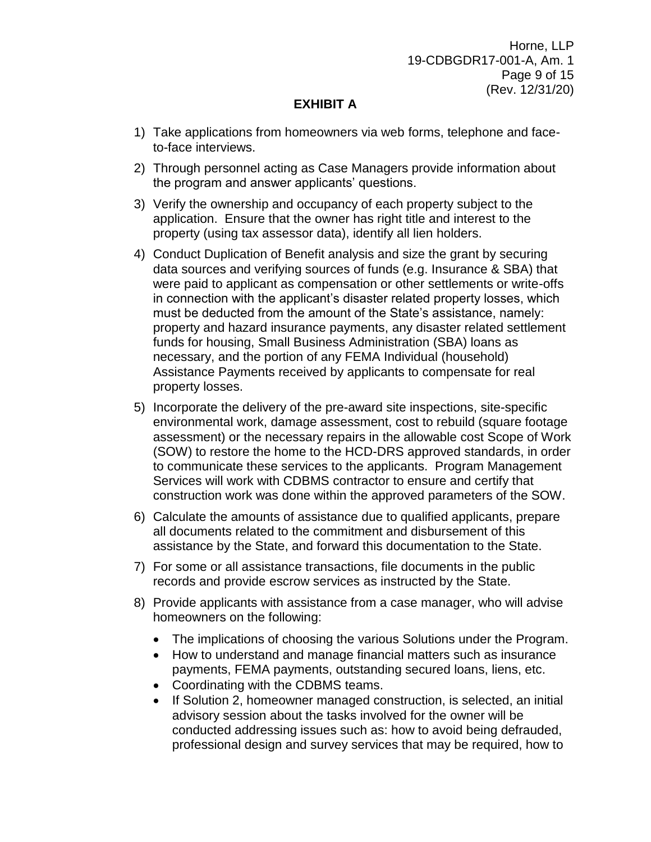Horne, LLP 19-CDBGDR17-001-A, Am. 1 Page 9 of 15 (Rev. 12/31/20)

## **EXHIBIT A**

- 1) Take applications from homeowners via web forms, telephone and faceto-face interviews.
- 2) Through personnel acting as Case Managers provide information about the program and answer applicants' questions.
- 3) Verify the ownership and occupancy of each property subject to the application. Ensure that the owner has right title and interest to the property (using tax assessor data), identify all lien holders.
- 4) Conduct Duplication of Benefit analysis and size the grant by securing data sources and verifying sources of funds (e.g. Insurance & SBA) that were paid to applicant as compensation or other settlements or write-offs in connection with the applicant's disaster related property losses, which must be deducted from the amount of the State's assistance, namely: property and hazard insurance payments, any disaster related settlement funds for housing, Small Business Administration (SBA) loans as necessary, and the portion of any FEMA Individual (household) Assistance Payments received by applicants to compensate for real property losses.
- 5) Incorporate the delivery of the pre-award site inspections, site-specific environmental work, damage assessment, cost to rebuild (square footage assessment) or the necessary repairs in the allowable cost Scope of Work (SOW) to restore the home to the HCD-DRS approved standards, in order to communicate these services to the applicants. Program Management Services will work with CDBMS contractor to ensure and certify that construction work was done within the approved parameters of the SOW.
- 6) Calculate the amounts of assistance due to qualified applicants, prepare all documents related to the commitment and disbursement of this assistance by the State, and forward this documentation to the State.
- 7) For some or all assistance transactions, file documents in the public records and provide escrow services as instructed by the State.
- 8) Provide applicants with assistance from a case manager, who will advise homeowners on the following:
	- The implications of choosing the various Solutions under the Program.
	- How to understand and manage financial matters such as insurance payments, FEMA payments, outstanding secured loans, liens, etc.
	- Coordinating with the CDBMS teams.
	- If Solution 2, homeowner managed construction, is selected, an initial advisory session about the tasks involved for the owner will be conducted addressing issues such as: how to avoid being defrauded, professional design and survey services that may be required, how to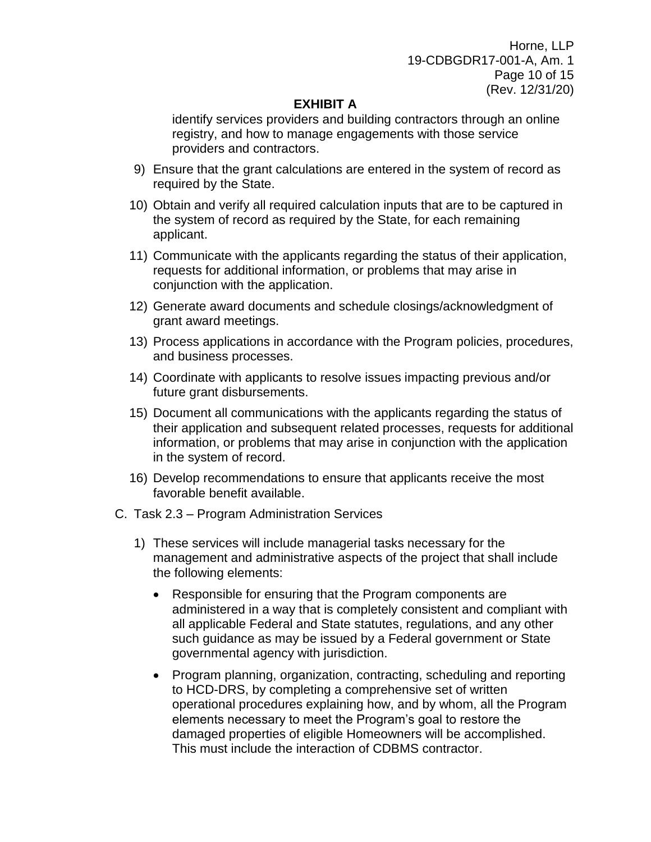Horne, LLP 19-CDBGDR17-001-A, Am. 1 Page 10 of 15 (Rev. 12/31/20)

## **EXHIBIT A**

identify services providers and building contractors through an online registry, and how to manage engagements with those service providers and contractors.

- 9) Ensure that the grant calculations are entered in the system of record as required by the State.
- 10) Obtain and verify all required calculation inputs that are to be captured in the system of record as required by the State, for each remaining applicant.
- 11) Communicate with the applicants regarding the status of their application, requests for additional information, or problems that may arise in conjunction with the application.
- 12) Generate award documents and schedule closings/acknowledgment of grant award meetings.
- 13) Process applications in accordance with the Program policies, procedures, and business processes.
- 14) Coordinate with applicants to resolve issues impacting previous and/or future grant disbursements.
- 15) Document all communications with the applicants regarding the status of their application and subsequent related processes, requests for additional information, or problems that may arise in conjunction with the application in the system of record.
- 16) Develop recommendations to ensure that applicants receive the most favorable benefit available.
- C. Task 2.3 Program Administration Services
	- 1) These services will include managerial tasks necessary for the management and administrative aspects of the project that shall include the following elements:
		- Responsible for ensuring that the Program components are administered in a way that is completely consistent and compliant with all applicable Federal and State statutes, regulations, and any other such guidance as may be issued by a Federal government or State governmental agency with jurisdiction.
		- Program planning, organization, contracting, scheduling and reporting to HCD-DRS, by completing a comprehensive set of written operational procedures explaining how, and by whom, all the Program elements necessary to meet the Program's goal to restore the damaged properties of eligible Homeowners will be accomplished. This must include the interaction of CDBMS contractor.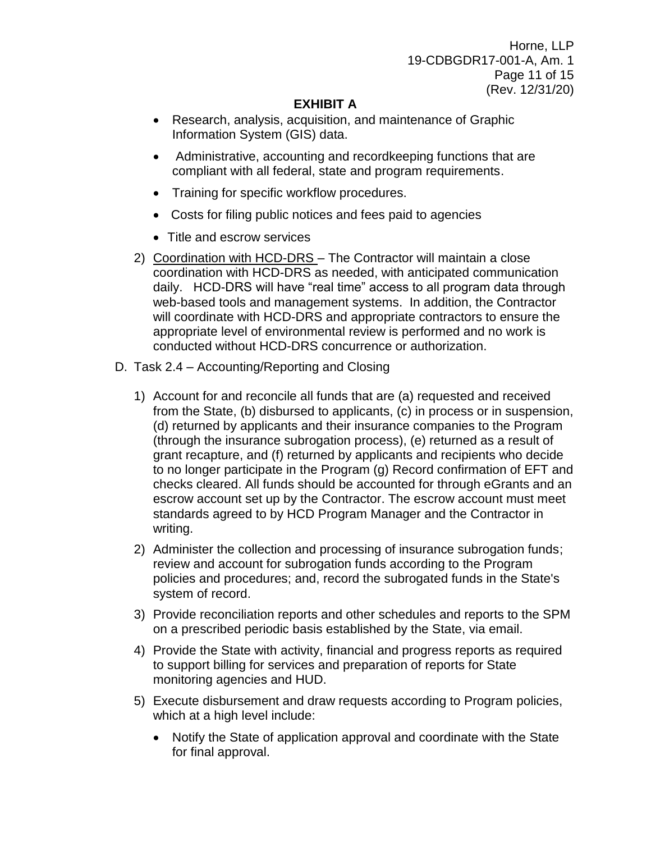Horne, LLP 19-CDBGDR17-001-A, Am. 1 Page 11 of 15 (Rev. 12/31/20)

## **EXHIBIT A**

- Research, analysis, acquisition, and maintenance of Graphic Information System (GIS) data.
- Administrative, accounting and recordkeeping functions that are compliant with all federal, state and program requirements.
- Training for specific workflow procedures.
- Costs for filing public notices and fees paid to agencies
- Title and escrow services
- 2) Coordination with HCD-DRS The Contractor will maintain a close coordination with HCD-DRS as needed, with anticipated communication daily. HCD-DRS will have "real time" access to all program data through web-based tools and management systems. In addition, the Contractor will coordinate with HCD-DRS and appropriate contractors to ensure the appropriate level of environmental review is performed and no work is conducted without HCD-DRS concurrence or authorization.
- D. Task 2.4 Accounting/Reporting and Closing
	- 1) Account for and reconcile all funds that are (a) requested and received from the State, (b) disbursed to applicants, (c) in process or in suspension, (d) returned by applicants and their insurance companies to the Program (through the insurance subrogation process), (e) returned as a result of grant recapture, and (f) returned by applicants and recipients who decide to no longer participate in the Program (g) Record confirmation of EFT and checks cleared. All funds should be accounted for through eGrants and an escrow account set up by the Contractor. The escrow account must meet standards agreed to by HCD Program Manager and the Contractor in writing.
	- 2) Administer the collection and processing of insurance subrogation funds; review and account for subrogation funds according to the Program policies and procedures; and, record the subrogated funds in the State's system of record.
	- 3) Provide reconciliation reports and other schedules and reports to the SPM on a prescribed periodic basis established by the State, via email.
	- 4) Provide the State with activity, financial and progress reports as required to support billing for services and preparation of reports for State monitoring agencies and HUD.
	- 5) Execute disbursement and draw requests according to Program policies, which at a high level include:
		- Notify the State of application approval and coordinate with the State for final approval.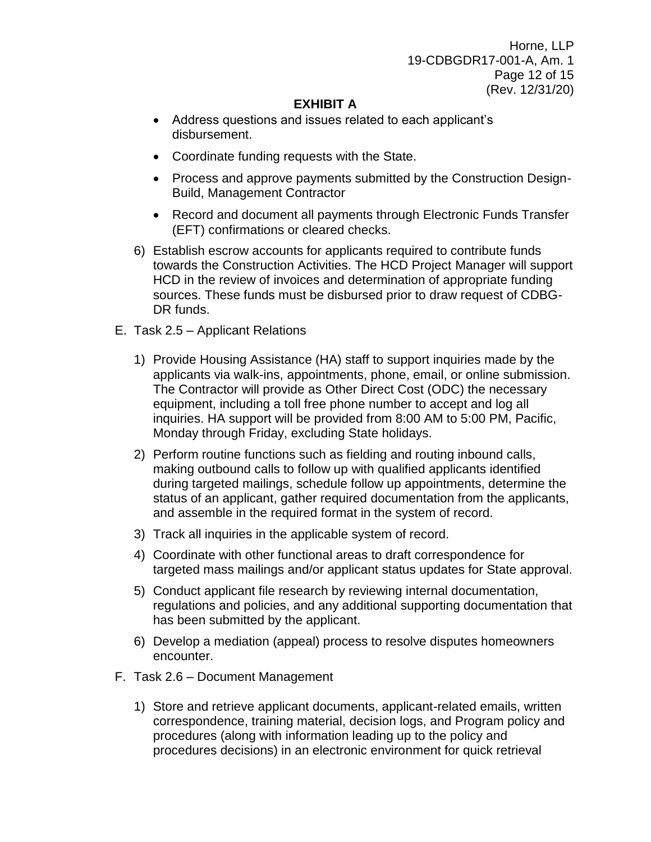Horne, LLP 19-CDBGDR17-001-A, Am. 1 Page 12 of 15 (Rev. 12/31/20)

## **EXHIBIT A**

- Address questions and issues related to each applicant's disbursement.
- Coordinate funding requests with the State.
- Process and approve payments submitted by the Construction Design-Build, Management Contractor
- Record and document all payments through Electronic Funds Transfer (EFT) confirmations or cleared checks.
- 6) Establish escrow accounts for applicants required to contribute funds towards the Construction Activities. The HCD Project Manager will support HCD in the review of invoices and determination of appropriate funding sources. These funds must be disbursed prior to draw request of CDBG-DR funds.
- E. Task 2.5 Applicant Relations
	- 1) Provide Housing Assistance (HA) staff to support inquiries made by the applicants via walk-ins, appointments, phone, email, or online submission. The Contractor will provide as Other Direct Cost (ODC) the necessary equipment, including a toll free phone number to accept and log all inquiries. HA support will be provided from 8:00 AM to 5:00 PM, Pacific, Monday through Friday, excluding State holidays.
	- 2) Perform routine functions such as fielding and routing inbound calls, making outbound calls to follow up with qualified applicants identified during targeted mailings, schedule follow up appointments, determine the status of an applicant, gather required documentation from the applicants, and assemble in the required format in the system of record.
	- 3) Track all inquiries in the applicable system of record.
	- 4) Coordinate with other functional areas to draft correspondence for targeted mass mailings and/or applicant status updates for State approval.
	- 5) Conduct applicant file research by reviewing internal documentation, regulations and policies, and any additional supporting documentation that has been submitted by the applicant.
	- 6) Develop a mediation (appeal) process to resolve disputes homeowners encounter.
- F. Task 2.6 Document Management
	- 1) Store and retrieve applicant documents, applicant-related emails, written correspondence, training material, decision logs, and Program policy and procedures (along with information leading up to the policy and procedures decisions) in an electronic environment for quick retrieval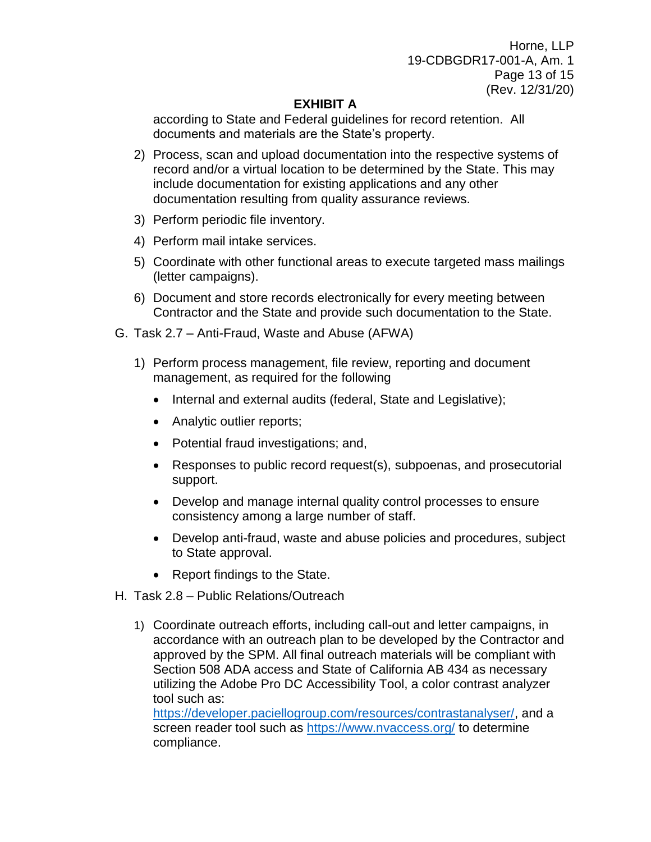Horne, LLP 19-CDBGDR17-001-A, Am. 1 Page 13 of 15 (Rev. 12/31/20)

## **EXHIBIT A**

according to State and Federal guidelines for record retention. All documents and materials are the State's property.

- 2) Process, scan and upload documentation into the respective systems of record and/or a virtual location to be determined by the State. This may include documentation for existing applications and any other documentation resulting from quality assurance reviews.
- 3) Perform periodic file inventory.
- 4) Perform mail intake services.
- 5) Coordinate with other functional areas to execute targeted mass mailings (letter campaigns).
- 6) Document and store records electronically for every meeting between Contractor and the State and provide such documentation to the State.
- G. Task 2.7 Anti-Fraud, Waste and Abuse (AFWA)
	- 1) Perform process management, file review, reporting and document management, as required for the following
		- Internal and external audits (federal, State and Legislative);
		- Analytic outlier reports;
		- Potential fraud investigations; and,
		- Responses to public record request(s), subpoenas, and prosecutorial support.
		- Develop and manage internal quality control processes to ensure consistency among a large number of staff.
		- Develop anti-fraud, waste and abuse policies and procedures, subject to State approval.
		- Report findings to the State.
- H. Task 2.8 Public Relations/Outreach
	- 1) Coordinate outreach efforts, including call-out and letter campaigns, in accordance with an outreach plan to be developed by the Contractor and approved by the SPM. All final outreach materials will be compliant with Section 508 ADA access and State of California AB 434 as necessary utilizing the Adobe Pro DC Accessibility Tool, a color contrast analyzer tool such as:

[https://developer.paciellogroup.com/resources/contrastanalyser/,](https://developer.paciellogroup.com/resources/contrastanalyser/) and a screen reader tool such as<https://www.nvaccess.org/> to determine compliance.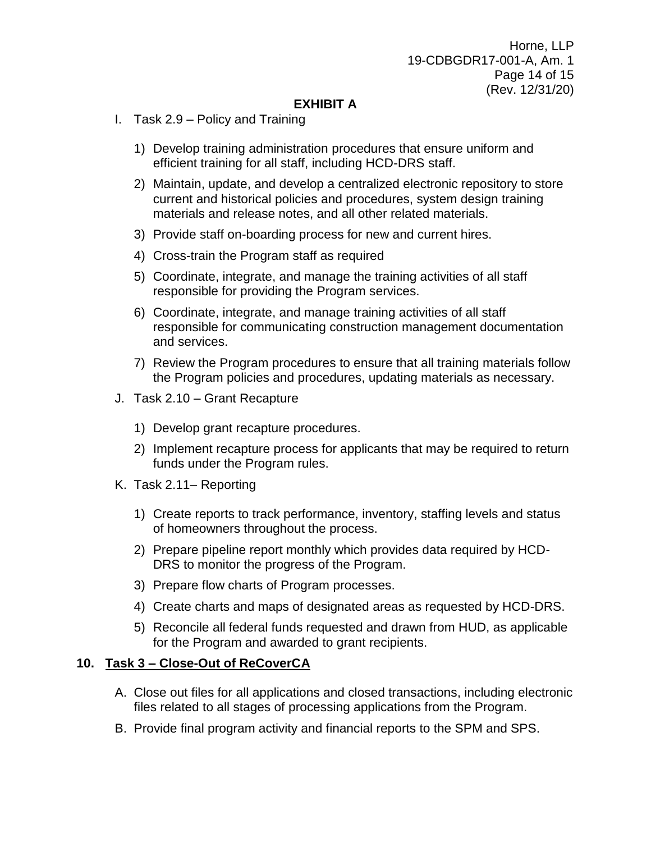## **EXHIBIT A**

- I. Task 2.9 Policy and Training
	- 1) Develop training administration procedures that ensure uniform and efficient training for all staff, including HCD-DRS staff.
	- 2) Maintain, update, and develop a centralized electronic repository to store current and historical policies and procedures, system design training materials and release notes, and all other related materials.
	- 3) Provide staff on-boarding process for new and current hires.
	- 4) Cross-train the Program staff as required
	- 5) Coordinate, integrate, and manage the training activities of all staff responsible for providing the Program services.
	- 6) Coordinate, integrate, and manage training activities of all staff responsible for communicating construction management documentation and services.
	- 7) Review the Program procedures to ensure that all training materials follow the Program policies and procedures, updating materials as necessary.
- J. Task 2.10 Grant Recapture
	- 1) Develop grant recapture procedures.
	- 2) Implement recapture process for applicants that may be required to return funds under the Program rules.
- K. Task 2.11– Reporting
	- 1) Create reports to track performance, inventory, staffing levels and status of homeowners throughout the process.
	- 2) Prepare pipeline report monthly which provides data required by HCD-DRS to monitor the progress of the Program.
	- 3) Prepare flow charts of Program processes.
	- 4) Create charts and maps of designated areas as requested by HCD-DRS.
	- 5) Reconcile all federal funds requested and drawn from HUD, as applicable for the Program and awarded to grant recipients.

### **10. Task 3 – Close-Out of ReCoverCA**

- A. Close out files for all applications and closed transactions, including electronic files related to all stages of processing applications from the Program.
- B. Provide final program activity and financial reports to the SPM and SPS.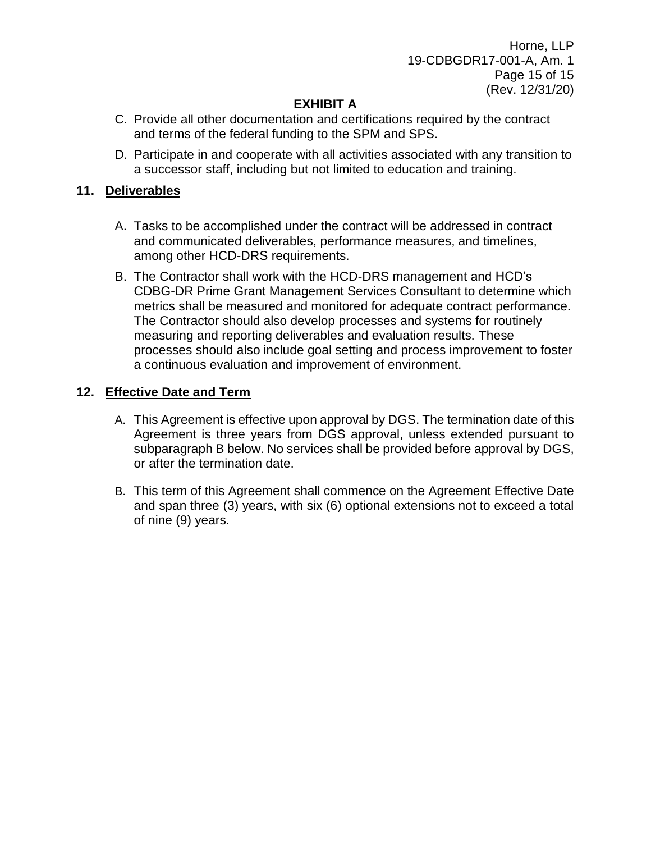Horne, LLP 19-CDBGDR17-001-A, Am. 1 Page 15 of 15 (Rev. 12/31/20)

# **EXHIBIT A**

- C. Provide all other documentation and certifications required by the contract and terms of the federal funding to the SPM and SPS.
- D. Participate in and cooperate with all activities associated with any transition to a successor staff, including but not limited to education and training.

## **11. Deliverables**

- A. Tasks to be accomplished under the contract will be addressed in contract and communicated deliverables, performance measures, and timelines, among other HCD-DRS requirements.
- B. The Contractor shall work with the HCD-DRS management and HCD's CDBG-DR Prime Grant Management Services Consultant to determine which metrics shall be measured and monitored for adequate contract performance. The Contractor should also develop processes and systems for routinely measuring and reporting deliverables and evaluation results. These processes should also include goal setting and process improvement to foster a continuous evaluation and improvement of environment.

## **12. Effective Date and Term**

- A. This Agreement is effective upon approval by DGS. The termination date of this Agreement is three years from DGS approval, unless extended pursuant to subparagraph B below. No services shall be provided before approval by DGS, or after the termination date.
- B. This term of this Agreement shall commence on the Agreement Effective Date and span three (3) years, with six (6) optional extensions not to exceed a total of nine (9) years.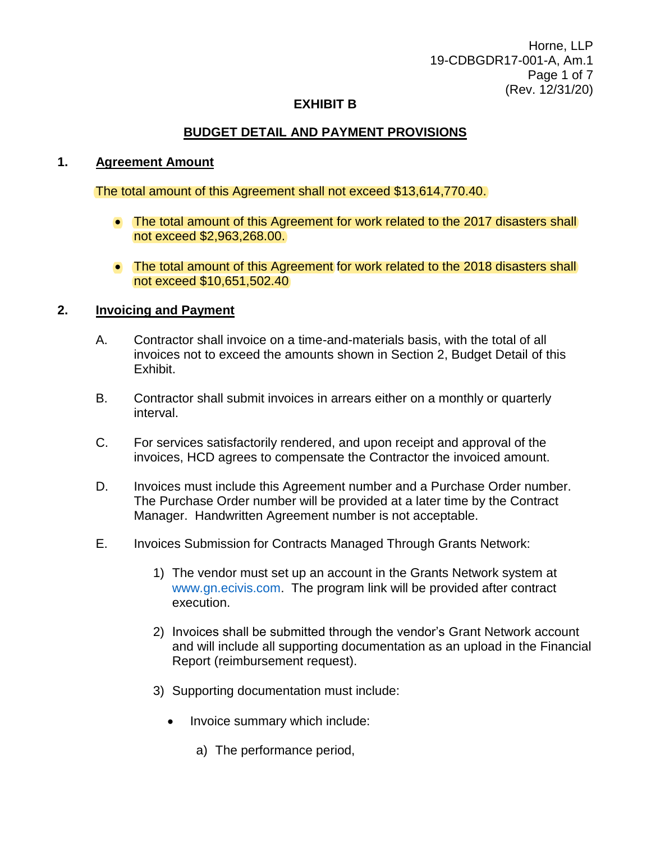Horne, LLP 19-CDBGDR17-001-A, Am.1 Page 1 of 7 (Rev. 12/31/20)

#### **EXHIBIT B**

### **BUDGET DETAIL AND PAYMENT PROVISIONS**

#### **1. Agreement Amount**

The total amount of this Agreement shall not exceed \$13,614,770.40.

- The total amount of this Agreement for work related to the 2017 disasters shall not exceed \$2,963,268.00.
- The total amount of this Agreement for work related to the 2018 disasters shall not exceed \$10,651,502.40

#### **2. Invoicing and Payment**

- A. Contractor shall invoice on a time-and-materials basis, with the total of all invoices not to exceed the amounts shown in Section 2, Budget Detail of this Exhibit.
- B. Contractor shall submit invoices in arrears either on a monthly or quarterly interval.
- C. For services satisfactorily rendered, and upon receipt and approval of the invoices, HCD agrees to compensate the Contractor the invoiced amount.
- D. Invoices must include this Agreement number and a Purchase Order number. The Purchase Order number will be provided at a later time by the Contract Manager. Handwritten Agreement number is not acceptable.
- E. Invoices Submission for Contracts Managed Through Grants Network:
	- 1) The vendor must set up an account in the Grants Network system at [www.gn.ecivis.com.](http://www.gn.ecivis.com/) The program link will be provided after contract execution.
	- 2) Invoices shall be submitted through the vendor's Grant Network account and will include all supporting documentation as an upload in the Financial Report (reimbursement request).
	- 3) Supporting documentation must include:
		- Invoice summary which include:
			- a) The performance period,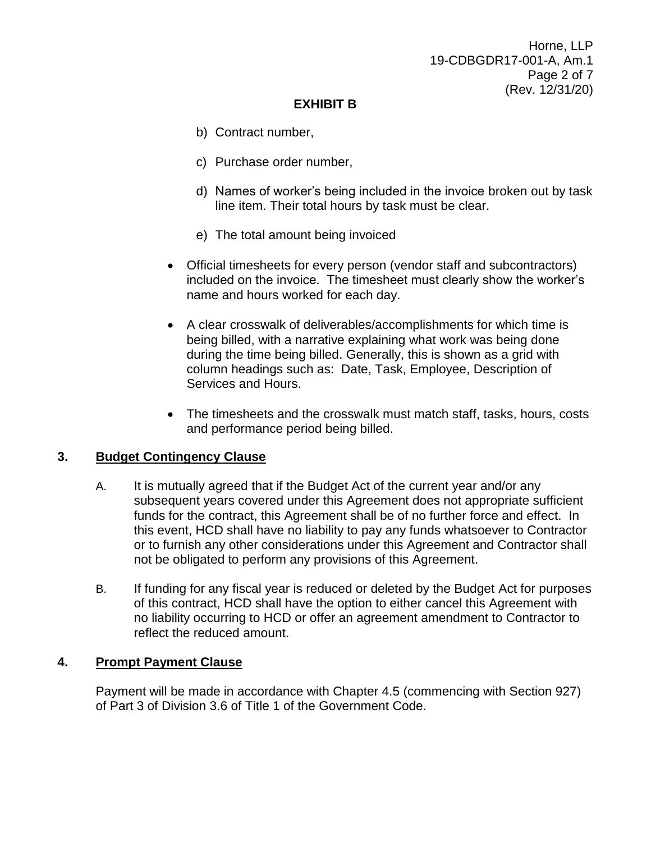Horne, LLP 19-CDBGDR17-001-A, Am.1 Page 2 of 7 (Rev. 12/31/20)

## **EXHIBIT B**

- b) Contract number,
- c) Purchase order number,
- d) Names of worker's being included in the invoice broken out by task line item. Their total hours by task must be clear.
- e) The total amount being invoiced
- Official timesheets for every person (vendor staff and subcontractors) included on the invoice. The timesheet must clearly show the worker's name and hours worked for each day.
- A clear crosswalk of deliverables/accomplishments for which time is being billed, with a narrative explaining what work was being done during the time being billed. Generally, this is shown as a grid with column headings such as: Date, Task, Employee, Description of Services and Hours.
- The timesheets and the crosswalk must match staff, tasks, hours, costs and performance period being billed.

### **3. Budget Contingency Clause**

- A. It is mutually agreed that if the Budget Act of the current year and/or any subsequent years covered under this Agreement does not appropriate sufficient funds for the contract, this Agreement shall be of no further force and effect. In this event, HCD shall have no liability to pay any funds whatsoever to Contractor or to furnish any other considerations under this Agreement and Contractor shall not be obligated to perform any provisions of this Agreement.
- B. If funding for any fiscal year is reduced or deleted by the Budget Act for purposes of this contract, HCD shall have the option to either cancel this Agreement with no liability occurring to HCD or offer an agreement amendment to Contractor to reflect the reduced amount.

## **4. Prompt Payment Clause**

Payment will be made in accordance with Chapter 4.5 (commencing with Section 927) of Part 3 of Division 3.6 of Title 1 of the Government Code.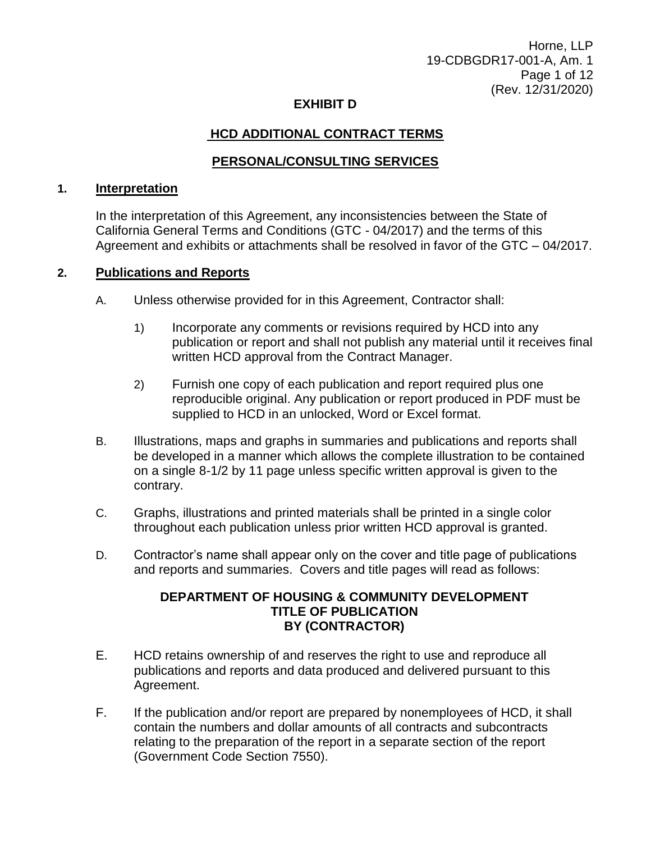Horne, LLP 19-CDBGDR17-001-A, Am. 1 Page 1 of 12 (Rev. 12/31/2020)

#### **EXHIBIT D**

## **HCD ADDITIONAL CONTRACT TERMS**

## **PERSONAL/CONSULTING SERVICES**

#### **1. Interpretation**

In the interpretation of this Agreement, any inconsistencies between the State of California General Terms and Conditions (GTC - 04/2017) and the terms of this Agreement and exhibits or attachments shall be resolved in favor of the GTC – 04/2017.

#### **2. Publications and Reports**

- A. Unless otherwise provided for in this Agreement, Contractor shall:
	- 1) Incorporate any comments or revisions required by HCD into any publication or report and shall not publish any material until it receives final written HCD approval from the Contract Manager.
	- 2) Furnish one copy of each publication and report required plus one reproducible original. Any publication or report produced in PDF must be supplied to HCD in an unlocked, Word or Excel format.
- B. Illustrations, maps and graphs in summaries and publications and reports shall be developed in a manner which allows the complete illustration to be contained on a single 8-1/2 by 11 page unless specific written approval is given to the contrary.
- C. Graphs, illustrations and printed materials shall be printed in a single color throughout each publication unless prior written HCD approval is granted.
- D. Contractor's name shall appear only on the cover and title page of publications and reports and summaries. Covers and title pages will read as follows:

### **DEPARTMENT OF HOUSING & COMMUNITY DEVELOPMENT TITLE OF PUBLICATION BY (CONTRACTOR)**

- E. HCD retains ownership of and reserves the right to use and reproduce all publications and reports and data produced and delivered pursuant to this Agreement.
- F. If the publication and/or report are prepared by nonemployees of HCD, it shall contain the numbers and dollar amounts of all contracts and subcontracts relating to the preparation of the report in a separate section of the report (Government Code Section 7550).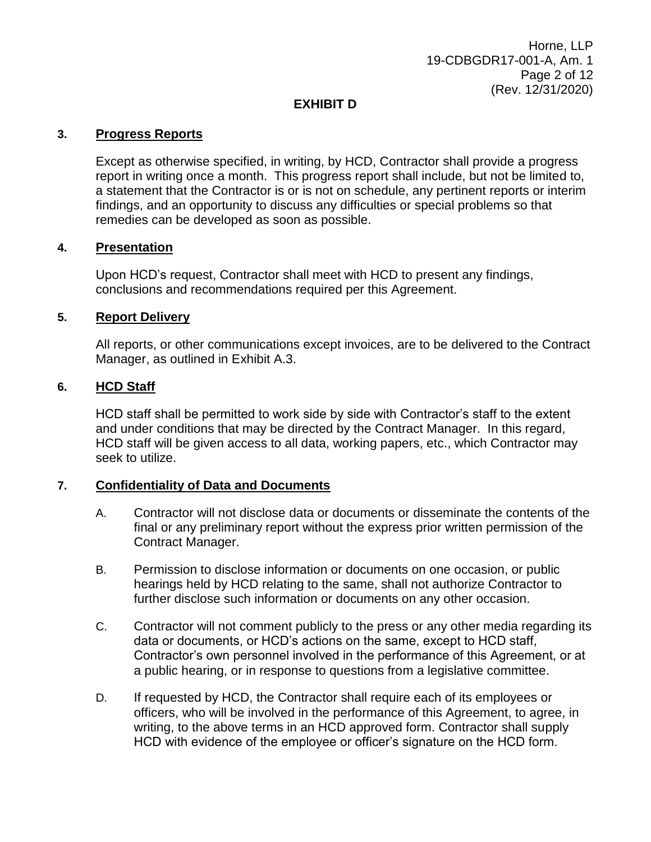## **EXHIBIT D**

#### **3. Progress Reports**

Except as otherwise specified, in writing, by HCD, Contractor shall provide a progress report in writing once a month. This progress report shall include, but not be limited to, a statement that the Contractor is or is not on schedule, any pertinent reports or interim findings, and an opportunity to discuss any difficulties or special problems so that remedies can be developed as soon as possible.

#### **4. Presentation**

Upon HCD's request, Contractor shall meet with HCD to present any findings, conclusions and recommendations required per this Agreement.

#### **5. Report Delivery**

All reports, or other communications except invoices, are to be delivered to the Contract Manager, as outlined in Exhibit A.3.

#### **6. HCD Staff**

HCD staff shall be permitted to work side by side with Contractor's staff to the extent and under conditions that may be directed by the Contract Manager. In this regard, HCD staff will be given access to all data, working papers, etc., which Contractor may seek to utilize.

### **7. Confidentiality of Data and Documents**

- A. Contractor will not disclose data or documents or disseminate the contents of the final or any preliminary report without the express prior written permission of the Contract Manager.
- B. Permission to disclose information or documents on one occasion, or public hearings held by HCD relating to the same, shall not authorize Contractor to further disclose such information or documents on any other occasion.
- C. Contractor will not comment publicly to the press or any other media regarding its data or documents, or HCD's actions on the same, except to HCD staff, Contractor's own personnel involved in the performance of this Agreement, or at a public hearing, or in response to questions from a legislative committee.
- D. If requested by HCD, the Contractor shall require each of its employees or officers, who will be involved in the performance of this Agreement, to agree, in writing, to the above terms in an HCD approved form. Contractor shall supply HCD with evidence of the employee or officer's signature on the HCD form.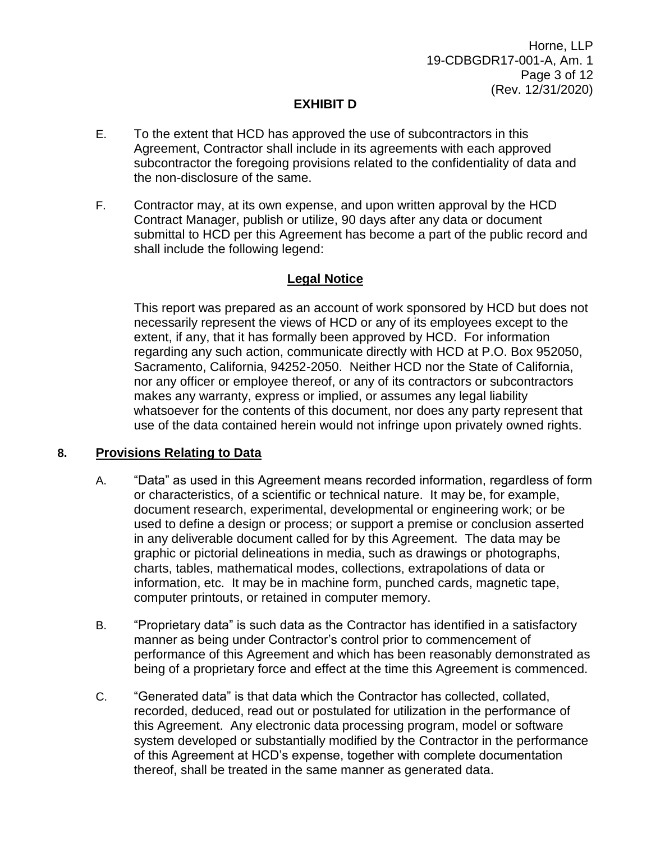## **EXHIBIT D**

- E. To the extent that HCD has approved the use of subcontractors in this Agreement, Contractor shall include in its agreements with each approved subcontractor the foregoing provisions related to the confidentiality of data and the non-disclosure of the same.
- F. Contractor may, at its own expense, and upon written approval by the HCD Contract Manager, publish or utilize, 90 days after any data or document submittal to HCD per this Agreement has become a part of the public record and shall include the following legend:

## **Legal Notice**

This report was prepared as an account of work sponsored by HCD but does not necessarily represent the views of HCD or any of its employees except to the extent, if any, that it has formally been approved by HCD. For information regarding any such action, communicate directly with HCD at P.O. Box 952050, Sacramento, California, 94252-2050. Neither HCD nor the State of California, nor any officer or employee thereof, or any of its contractors or subcontractors makes any warranty, express or implied, or assumes any legal liability whatsoever for the contents of this document, nor does any party represent that use of the data contained herein would not infringe upon privately owned rights.

### **8. Provisions Relating to Data**

- A. "Data" as used in this Agreement means recorded information, regardless of form or characteristics, of a scientific or technical nature. It may be, for example, document research, experimental, developmental or engineering work; or be used to define a design or process; or support a premise or conclusion asserted in any deliverable document called for by this Agreement. The data may be graphic or pictorial delineations in media, such as drawings or photographs, charts, tables, mathematical modes, collections, extrapolations of data or information, etc. It may be in machine form, punched cards, magnetic tape, computer printouts, or retained in computer memory.
- B. "Proprietary data" is such data as the Contractor has identified in a satisfactory manner as being under Contractor's control prior to commencement of performance of this Agreement and which has been reasonably demonstrated as being of a proprietary force and effect at the time this Agreement is commenced.
- C. "Generated data" is that data which the Contractor has collected, collated, recorded, deduced, read out or postulated for utilization in the performance of this Agreement. Any electronic data processing program, model or software system developed or substantially modified by the Contractor in the performance of this Agreement at HCD's expense, together with complete documentation thereof, shall be treated in the same manner as generated data.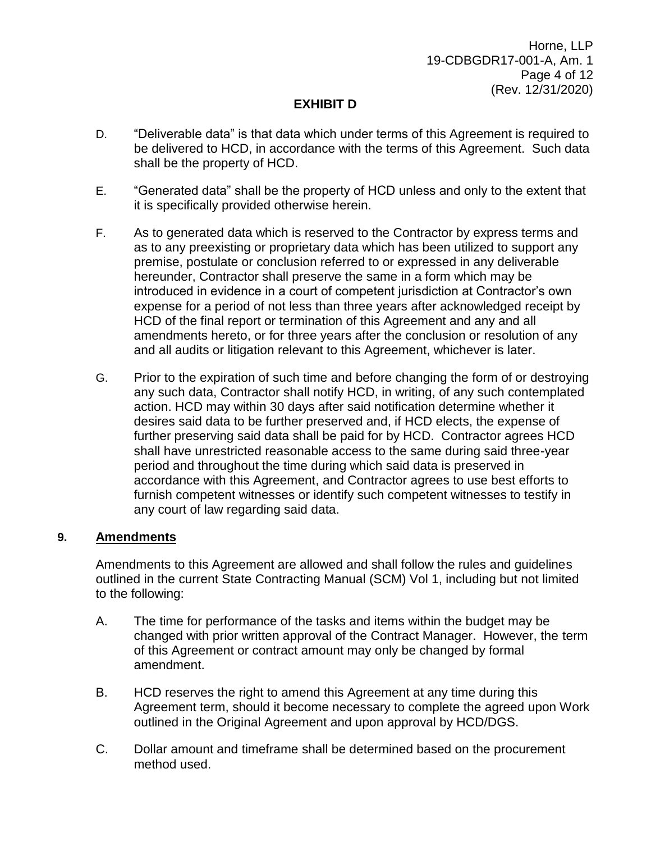Horne, LLP 19-CDBGDR17-001-A, Am. 1 Page 4 of 12 (Rev. 12/31/2020)

## **EXHIBIT D**

- D. "Deliverable data" is that data which under terms of this Agreement is required to be delivered to HCD, in accordance with the terms of this Agreement. Such data shall be the property of HCD.
- E. "Generated data" shall be the property of HCD unless and only to the extent that it is specifically provided otherwise herein.
- F. As to generated data which is reserved to the Contractor by express terms and as to any preexisting or proprietary data which has been utilized to support any premise, postulate or conclusion referred to or expressed in any deliverable hereunder, Contractor shall preserve the same in a form which may be introduced in evidence in a court of competent jurisdiction at Contractor's own expense for a period of not less than three years after acknowledged receipt by HCD of the final report or termination of this Agreement and any and all amendments hereto, or for three years after the conclusion or resolution of any and all audits or litigation relevant to this Agreement, whichever is later.
- G. Prior to the expiration of such time and before changing the form of or destroying any such data, Contractor shall notify HCD, in writing, of any such contemplated action. HCD may within 30 days after said notification determine whether it desires said data to be further preserved and, if HCD elects, the expense of further preserving said data shall be paid for by HCD. Contractor agrees HCD shall have unrestricted reasonable access to the same during said three-year period and throughout the time during which said data is preserved in accordance with this Agreement, and Contractor agrees to use best efforts to furnish competent witnesses or identify such competent witnesses to testify in any court of law regarding said data.

### **9. Amendments**

Amendments to this Agreement are allowed and shall follow the rules and guidelines outlined in the current State Contracting Manual (SCM) Vol 1, including but not limited to the following:

- A. The time for performance of the tasks and items within the budget may be changed with prior written approval of the Contract Manager. However, the term of this Agreement or contract amount may only be changed by formal amendment.
- B. HCD reserves the right to amend this Agreement at any time during this Agreement term, should it become necessary to complete the agreed upon Work outlined in the Original Agreement and upon approval by HCD/DGS.
- C. Dollar amount and timeframe shall be determined based on the procurement method used.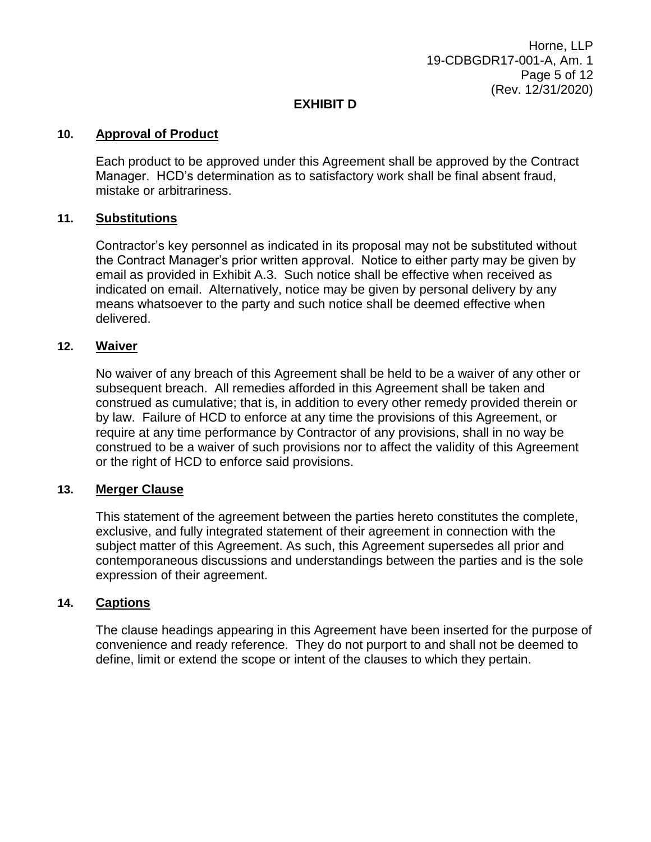Horne, LLP 19-CDBGDR17-001-A, Am. 1 Page 5 of 12 (Rev. 12/31/2020)

### **EXHIBIT D**

#### **10. Approval of Product**

Each product to be approved under this Agreement shall be approved by the Contract Manager. HCD's determination as to satisfactory work shall be final absent fraud, mistake or arbitrariness.

#### **11. Substitutions**

Contractor's key personnel as indicated in its proposal may not be substituted without the Contract Manager's prior written approval. Notice to either party may be given by email as provided in Exhibit A.3. Such notice shall be effective when received as indicated on email. Alternatively, notice may be given by personal delivery by any means whatsoever to the party and such notice shall be deemed effective when delivered.

#### **12. Waiver**

No waiver of any breach of this Agreement shall be held to be a waiver of any other or subsequent breach. All remedies afforded in this Agreement shall be taken and construed as cumulative; that is, in addition to every other remedy provided therein or by law. Failure of HCD to enforce at any time the provisions of this Agreement, or require at any time performance by Contractor of any provisions, shall in no way be construed to be a waiver of such provisions nor to affect the validity of this Agreement or the right of HCD to enforce said provisions.

#### **13. Merger Clause**

This statement of the agreement between the parties hereto constitutes the complete, exclusive, and fully integrated statement of their agreement in connection with the subject matter of this Agreement. As such, this Agreement supersedes all prior and contemporaneous discussions and understandings between the parties and is the sole expression of their agreement.

### **14. Captions**

The clause headings appearing in this Agreement have been inserted for the purpose of convenience and ready reference. They do not purport to and shall not be deemed to define, limit or extend the scope or intent of the clauses to which they pertain.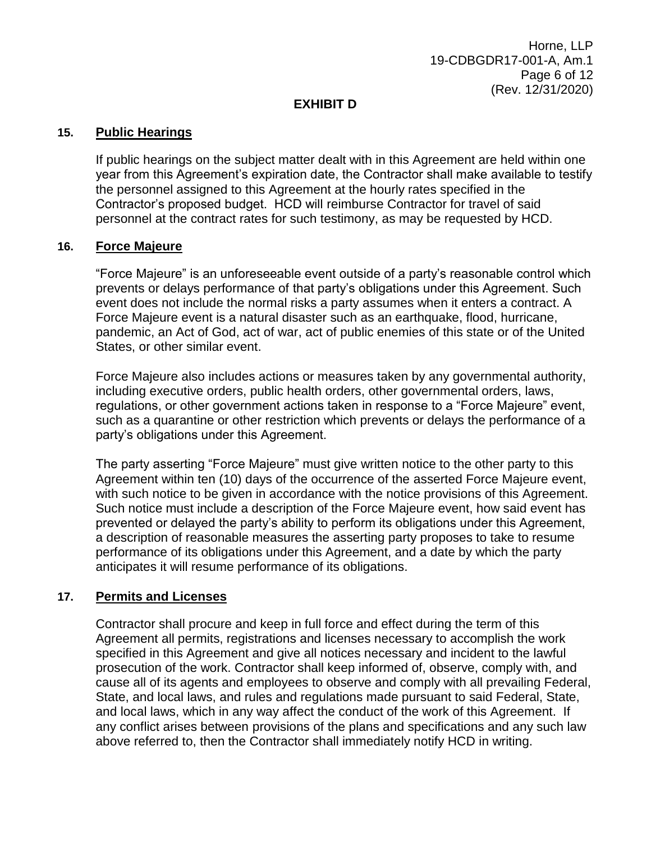### **EXHIBIT D**

#### **15. Public Hearings**

If public hearings on the subject matter dealt with in this Agreement are held within one year from this Agreement's expiration date, the Contractor shall make available to testify the personnel assigned to this Agreement at the hourly rates specified in the Contractor's proposed budget. HCD will reimburse Contractor for travel of said personnel at the contract rates for such testimony, as may be requested by HCD.

#### **16. Force Majeure**

"Force Majeure" is an unforeseeable event outside of a party's reasonable control which prevents or delays performance of that party's obligations under this Agreement. Such event does not include the normal risks a party assumes when it enters a contract. A Force Majeure event is a natural disaster such as an earthquake, flood, hurricane, pandemic, an Act of God, act of war, act of public enemies of this state or of the United States, or other similar event.

Force Majeure also includes actions or measures taken by any governmental authority, including executive orders, public health orders, other governmental orders, laws, regulations, or other government actions taken in response to a "Force Majeure" event, such as a quarantine or other restriction which prevents or delays the performance of a party's obligations under this Agreement.

The party asserting "Force Majeure" must give written notice to the other party to this Agreement within ten (10) days of the occurrence of the asserted Force Majeure event, with such notice to be given in accordance with the notice provisions of this Agreement. Such notice must include a description of the Force Majeure event, how said event has prevented or delayed the party's ability to perform its obligations under this Agreement, a description of reasonable measures the asserting party proposes to take to resume performance of its obligations under this Agreement, and a date by which the party anticipates it will resume performance of its obligations.

### **17. Permits and Licenses**

Contractor shall procure and keep in full force and effect during the term of this Agreement all permits, registrations and licenses necessary to accomplish the work specified in this Agreement and give all notices necessary and incident to the lawful prosecution of the work. Contractor shall keep informed of, observe, comply with, and cause all of its agents and employees to observe and comply with all prevailing Federal, State, and local laws, and rules and regulations made pursuant to said Federal, State, and local laws, which in any way affect the conduct of the work of this Agreement. If any conflict arises between provisions of the plans and specifications and any such law above referred to, then the Contractor shall immediately notify HCD in writing.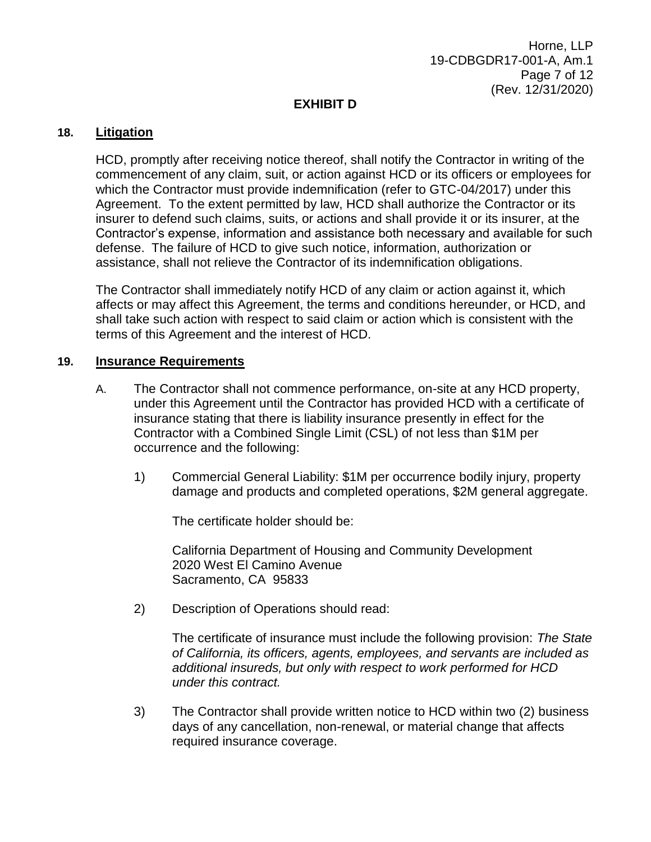### **EXHIBIT D**

#### **18. Litigation**

HCD, promptly after receiving notice thereof, shall notify the Contractor in writing of the commencement of any claim, suit, or action against HCD or its officers or employees for which the Contractor must provide indemnification (refer to GTC-04/2017) under this Agreement. To the extent permitted by law, HCD shall authorize the Contractor or its insurer to defend such claims, suits, or actions and shall provide it or its insurer, at the Contractor's expense, information and assistance both necessary and available for such defense. The failure of HCD to give such notice, information, authorization or assistance, shall not relieve the Contractor of its indemnification obligations.

The Contractor shall immediately notify HCD of any claim or action against it, which affects or may affect this Agreement, the terms and conditions hereunder, or HCD, and shall take such action with respect to said claim or action which is consistent with the terms of this Agreement and the interest of HCD.

#### **19. Insurance Requirements**

- A. The Contractor shall not commence performance, on-site at any HCD property, under this Agreement until the Contractor has provided HCD with a certificate of insurance stating that there is liability insurance presently in effect for the Contractor with a Combined Single Limit (CSL) of not less than \$1M per occurrence and the following:
	- 1) Commercial General Liability: \$1M per occurrence bodily injury, property damage and products and completed operations, \$2M general aggregate.

The certificate holder should be:

California Department of Housing and Community Development 2020 West El Camino Avenue Sacramento, CA 95833

2) Description of Operations should read:

The certificate of insurance must include the following provision: *The State of California, its officers, agents, employees, and servants are included as additional insureds, but only with respect to work performed for HCD under this contract.*

3) The Contractor shall provide written notice to HCD within two (2) business days of any cancellation, non-renewal, or material change that affects required insurance coverage.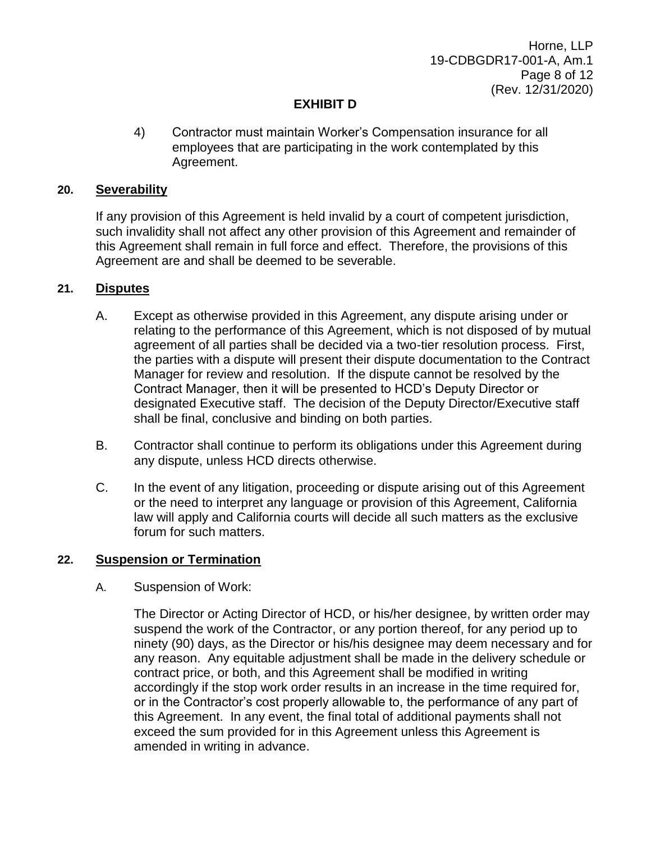Horne, LLP 19-CDBGDR17-001-A, Am.1 Page 8 of 12 (Rev. 12/31/2020)

## **EXHIBIT D**

4) Contractor must maintain Worker's Compensation insurance for all employees that are participating in the work contemplated by this Agreement.

#### **20. Severability**

If any provision of this Agreement is held invalid by a court of competent jurisdiction, such invalidity shall not affect any other provision of this Agreement and remainder of this Agreement shall remain in full force and effect. Therefore, the provisions of this Agreement are and shall be deemed to be severable.

#### **21. Disputes**

- A. Except as otherwise provided in this Agreement, any dispute arising under or relating to the performance of this Agreement, which is not disposed of by mutual agreement of all parties shall be decided via a two-tier resolution process. First, the parties with a dispute will present their dispute documentation to the Contract Manager for review and resolution. If the dispute cannot be resolved by the Contract Manager, then it will be presented to HCD's Deputy Director or designated Executive staff. The decision of the Deputy Director/Executive staff shall be final, conclusive and binding on both parties.
- B. Contractor shall continue to perform its obligations under this Agreement during any dispute, unless HCD directs otherwise.
- C. In the event of any litigation, proceeding or dispute arising out of this Agreement or the need to interpret any language or provision of this Agreement, California law will apply and California courts will decide all such matters as the exclusive forum for such matters.

#### **22. Suspension or Termination**

#### A. Suspension of Work:

The Director or Acting Director of HCD, or his/her designee, by written order may suspend the work of the Contractor, or any portion thereof, for any period up to ninety (90) days, as the Director or his/his designee may deem necessary and for any reason. Any equitable adjustment shall be made in the delivery schedule or contract price, or both, and this Agreement shall be modified in writing accordingly if the stop work order results in an increase in the time required for, or in the Contractor's cost properly allowable to, the performance of any part of this Agreement. In any event, the final total of additional payments shall not exceed the sum provided for in this Agreement unless this Agreement is amended in writing in advance.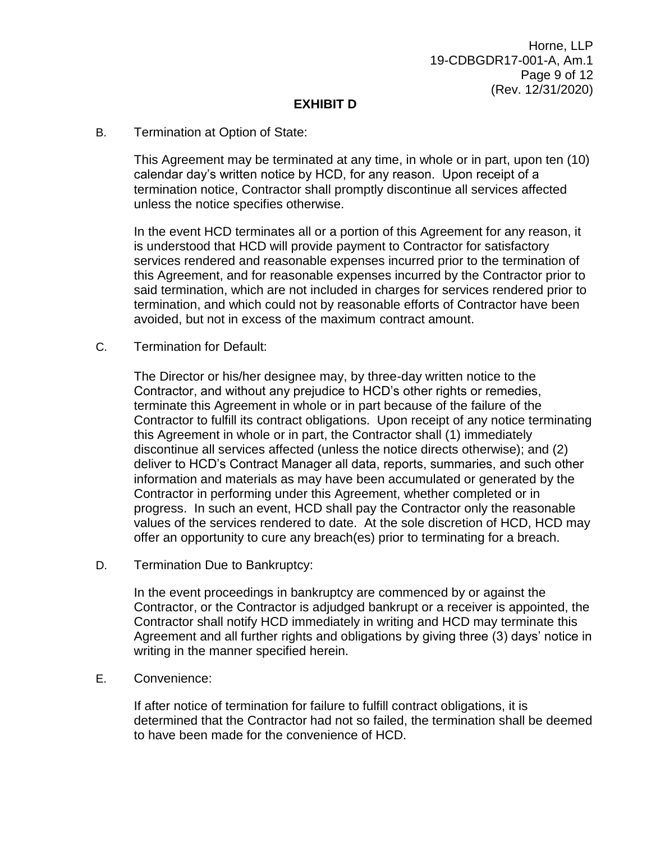### **EXHIBIT D**

#### B. Termination at Option of State:

This Agreement may be terminated at any time, in whole or in part, upon ten (10) calendar day's written notice by HCD, for any reason. Upon receipt of a termination notice, Contractor shall promptly discontinue all services affected unless the notice specifies otherwise.

In the event HCD terminates all or a portion of this Agreement for any reason, it is understood that HCD will provide payment to Contractor for satisfactory services rendered and reasonable expenses incurred prior to the termination of this Agreement, and for reasonable expenses incurred by the Contractor prior to said termination, which are not included in charges for services rendered prior to termination, and which could not by reasonable efforts of Contractor have been avoided, but not in excess of the maximum contract amount.

C. Termination for Default:

The Director or his/her designee may, by three-day written notice to the Contractor, and without any prejudice to HCD's other rights or remedies, terminate this Agreement in whole or in part because of the failure of the Contractor to fulfill its contract obligations. Upon receipt of any notice terminating this Agreement in whole or in part, the Contractor shall (1) immediately discontinue all services affected (unless the notice directs otherwise); and (2) deliver to HCD's Contract Manager all data, reports, summaries, and such other information and materials as may have been accumulated or generated by the Contractor in performing under this Agreement, whether completed or in progress. In such an event, HCD shall pay the Contractor only the reasonable values of the services rendered to date. At the sole discretion of HCD, HCD may offer an opportunity to cure any breach(es) prior to terminating for a breach.

D. Termination Due to Bankruptcy:

In the event proceedings in bankruptcy are commenced by or against the Contractor, or the Contractor is adjudged bankrupt or a receiver is appointed, the Contractor shall notify HCD immediately in writing and HCD may terminate this Agreement and all further rights and obligations by giving three (3) days' notice in writing in the manner specified herein.

E. Convenience:

If after notice of termination for failure to fulfill contract obligations, it is determined that the Contractor had not so failed, the termination shall be deemed to have been made for the convenience of HCD.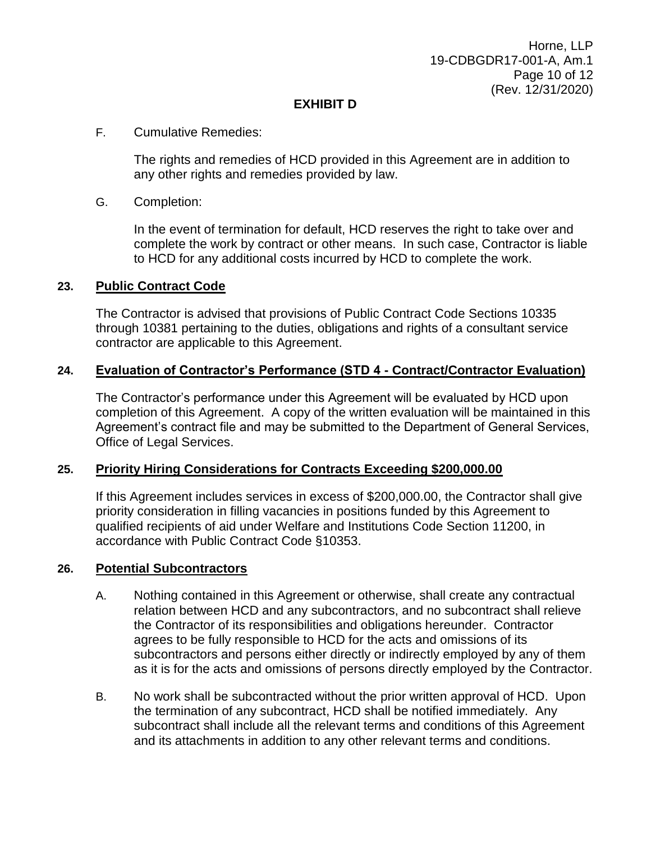Horne, LLP 19-CDBGDR17-001-A, Am.1 Page 10 of 12 (Rev. 12/31/2020)

## **EXHIBIT D**

### F. Cumulative Remedies:

The rights and remedies of HCD provided in this Agreement are in addition to any other rights and remedies provided by law.

#### G. Completion:

In the event of termination for default, HCD reserves the right to take over and complete the work by contract or other means. In such case, Contractor is liable to HCD for any additional costs incurred by HCD to complete the work.

#### **23. Public Contract Code**

The Contractor is advised that provisions of Public Contract Code Sections 10335 through 10381 pertaining to the duties, obligations and rights of a consultant service contractor are applicable to this Agreement.

### **24. Evaluation of Contractor's Performance (STD 4 - Contract/Contractor Evaluation)**

The Contractor's performance under this Agreement will be evaluated by HCD upon completion of this Agreement. A copy of the written evaluation will be maintained in this Agreement's contract file and may be submitted to the Department of General Services, Office of Legal Services.

### **25. Priority Hiring Considerations for Contracts Exceeding \$200,000.00**

If this Agreement includes services in excess of \$200,000.00, the Contractor shall give priority consideration in filling vacancies in positions funded by this Agreement to qualified recipients of aid under Welfare and Institutions Code Section 11200, in accordance with Public Contract Code §10353.

#### **26. Potential Subcontractors**

- A. Nothing contained in this Agreement or otherwise, shall create any contractual relation between HCD and any subcontractors, and no subcontract shall relieve the Contractor of its responsibilities and obligations hereunder. Contractor agrees to be fully responsible to HCD for the acts and omissions of its subcontractors and persons either directly or indirectly employed by any of them as it is for the acts and omissions of persons directly employed by the Contractor.
- B. No work shall be subcontracted without the prior written approval of HCD. Upon the termination of any subcontract, HCD shall be notified immediately. Any subcontract shall include all the relevant terms and conditions of this Agreement and its attachments in addition to any other relevant terms and conditions.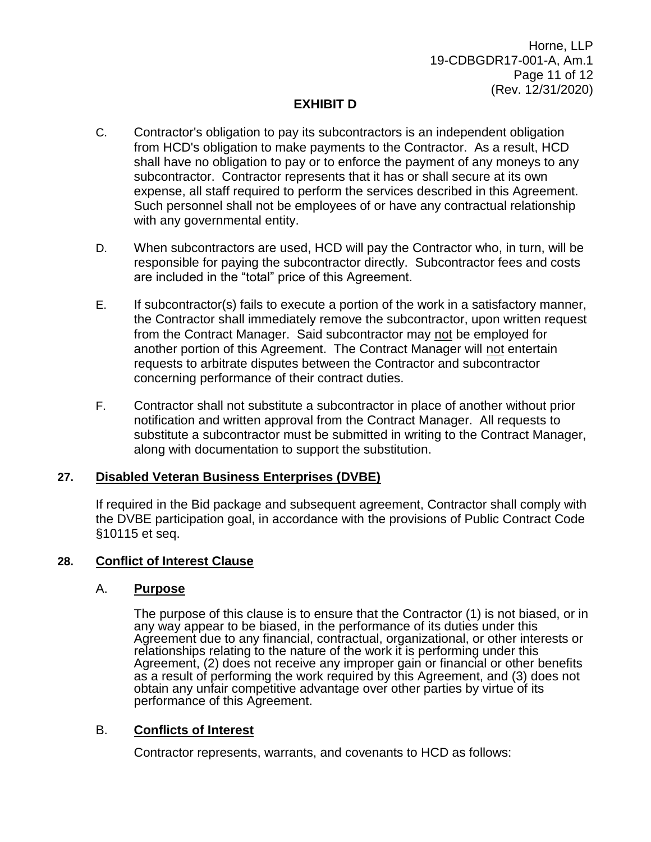## **EXHIBIT D**

- C. Contractor's obligation to pay its subcontractors is an independent obligation from HCD's obligation to make payments to the Contractor. As a result, HCD shall have no obligation to pay or to enforce the payment of any moneys to any subcontractor. Contractor represents that it has or shall secure at its own expense, all staff required to perform the services described in this Agreement. Such personnel shall not be employees of or have any contractual relationship with any governmental entity.
- D. When subcontractors are used, HCD will pay the Contractor who, in turn, will be responsible for paying the subcontractor directly. Subcontractor fees and costs are included in the "total" price of this Agreement.
- E. If subcontractor(s) fails to execute a portion of the work in a satisfactory manner, the Contractor shall immediately remove the subcontractor, upon written request from the Contract Manager. Said subcontractor may not be employed for another portion of this Agreement. The Contract Manager will not entertain requests to arbitrate disputes between the Contractor and subcontractor concerning performance of their contract duties.
- F. Contractor shall not substitute a subcontractor in place of another without prior notification and written approval from the Contract Manager. All requests to substitute a subcontractor must be submitted in writing to the Contract Manager, along with documentation to support the substitution.

### **27. Disabled Veteran Business Enterprises (DVBE)**

If required in the Bid package and subsequent agreement, Contractor shall comply with the DVBE participation goal, in accordance with the provisions of Public Contract Code §10115 et seq.

### **28. Conflict of Interest Clause**

#### A. **Purpose**

The purpose of this clause is to ensure that the Contractor (1) is not biased, or in any way appear to be biased, in the performance of its duties under this Agreement due to any financial, contractual, organizational, or other interests or relationships relating to the nature of the work it is performing under this Agreement, (2) does not receive any improper gain or financial or other benefits as a result of performing the work required by this Agreement, and (3) does not obtain any unfair competitive advantage over other parties by virtue of its performance of this Agreement.

### B. **Conflicts of Interest**

Contractor represents, warrants, and covenants to HCD as follows: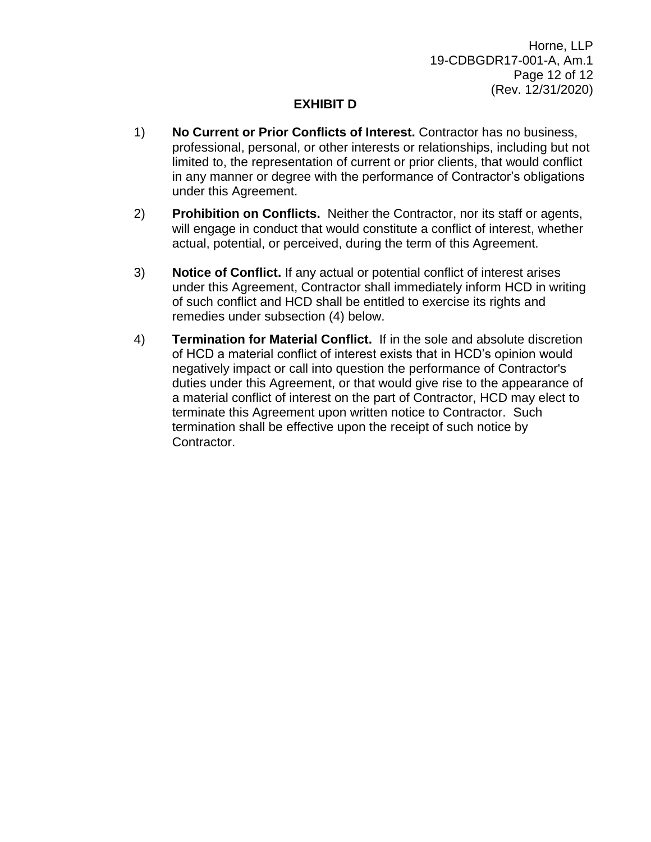Horne, LLP 19-CDBGDR17-001-A, Am.1 Page 12 of 12 (Rev. 12/31/2020)

## **EXHIBIT D**

- 1) **No Current or Prior Conflicts of Interest.** Contractor has no business, professional, personal, or other interests or relationships, including but not limited to, the representation of current or prior clients, that would conflict in any manner or degree with the performance of Contractor's obligations under this Agreement.
- 2) **Prohibition on Conflicts.** Neither the Contractor, nor its staff or agents, will engage in conduct that would constitute a conflict of interest, whether actual, potential, or perceived, during the term of this Agreement.
- 3) **Notice of Conflict.** If any actual or potential conflict of interest arises under this Agreement, Contractor shall immediately inform HCD in writing of such conflict and HCD shall be entitled to exercise its rights and remedies under subsection (4) below.
- 4) **Termination for Material Conflict.** If in the sole and absolute discretion of HCD a material conflict of interest exists that in HCD's opinion would negatively impact or call into question the performance of Contractor's duties under this Agreement, or that would give rise to the appearance of a material conflict of interest on the part of Contractor, HCD may elect to terminate this Agreement upon written notice to Contractor. Such termination shall be effective upon the receipt of such notice by Contractor.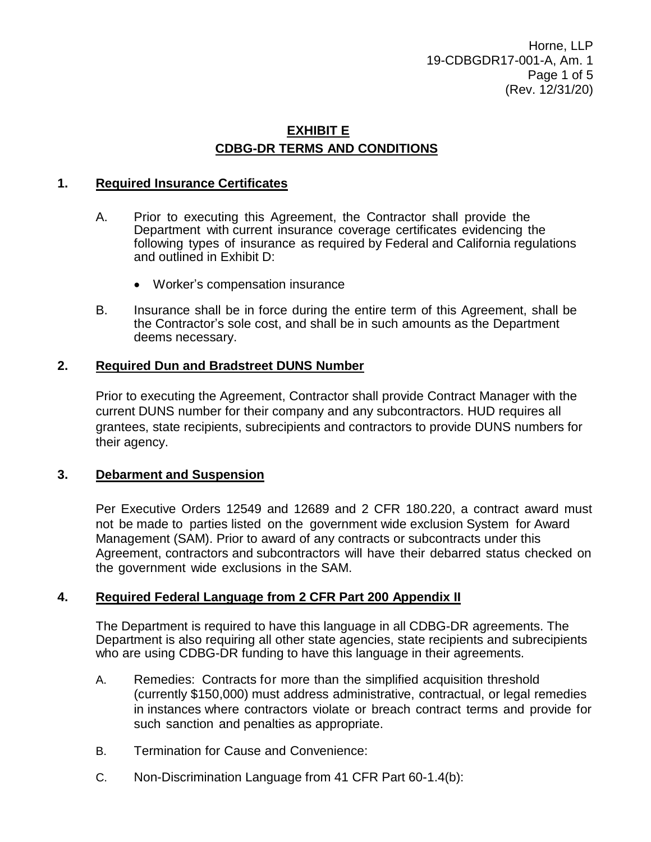Horne, LLP 19-CDBGDR17-001-A, Am. 1 Page 1 of 5 (Rev. 12/31/20)

## **EXHIBIT E CDBG-DR TERMS AND CONDITIONS**

### **1. Required Insurance Certificates**

- A. Prior to executing this Agreement, the Contractor shall provide the Department with current insurance coverage certificates evidencing the following types of insurance as required by Federal and California regulations and outlined in Exhibit D:
	- Worker's compensation insurance
- B. Insurance shall be in force during the entire term of this Agreement, shall be the Contractor's sole cost, and shall be in such amounts as the Department deems necessary.

#### **2. Required Dun and Bradstreet DUNS Number**

Prior to executing the Agreement, Contractor shall provide Contract Manager with the current DUNS number for their company and any subcontractors. HUD requires all grantees, state recipients, subrecipients and contractors to provide DUNS numbers for their agency.

#### **3. Debarment and Suspension**

Per Executive Orders 12549 and 12689 and 2 CFR 180.220, a contract award must not be made to parties listed on the government wide exclusion System for Award Management (SAM). Prior to award of any contracts or subcontracts under this Agreement, contractors and subcontractors will have their debarred status checked on the government wide exclusions in the SAM.

#### **4. Required Federal Language from 2 CFR Part 200 Appendix II**

The Department is required to have this language in all CDBG-DR agreements. The Department is also requiring all other state agencies, state recipients and subrecipients who are using CDBG-DR funding to have this language in their agreements.

- A. Remedies: Contracts for more than the simplified acquisition threshold (currently \$150,000) must address administrative, contractual, or legal remedies in instances where contractors violate or breach contract terms and provide for such sanction and penalties as appropriate.
- B. Termination for Cause and Convenience:
- C. Non-Discrimination Language from 41 CFR Part 60-1.4(b):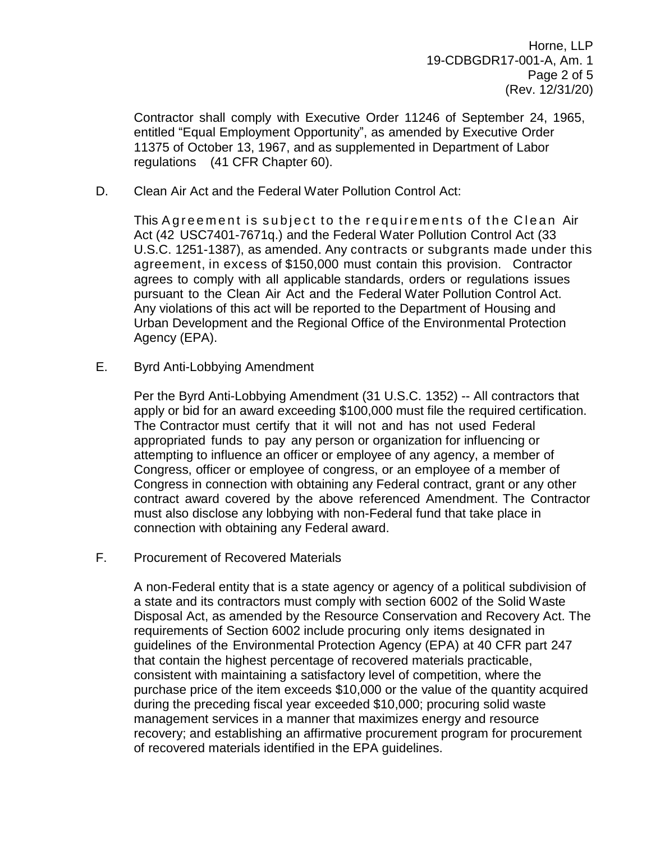Horne, LLP 19-CDBGDR17-001-A, Am. 1 Page 2 of 5 (Rev. 12/31/20)

Contractor shall comply with Executive Order 11246 of September 24, 1965, entitled "Equal Employment Opportunity", as amended by Executive Order 11375 of October 13, 1967, and as supplemented in Department of Labor regulations (41 CFR Chapter 60).

D. Clean Air Act and the Federal Water Pollution Control Act:

This Agreement is subject to the requirements of the Clean Air Act (42 USC7401-7671q.) and the Federal Water Pollution Control Act (33 U.S.C. 1251-1387), as amended. Any contracts or subgrants made under this agreement, in excess of \$150,000 must contain this provision. Contractor agrees to comply with all applicable standards, orders or regulations issues pursuant to the Clean Air Act and the Federal Water Pollution Control Act. Any violations of this act will be reported to the Department of Housing and Urban Development and the Regional Office of the Environmental Protection Agency (EPA).

E. Byrd Anti-Lobbying Amendment

Per the Byrd Anti-Lobbying Amendment (31 U.S.C. 1352) -- All contractors that apply or bid for an award exceeding \$100,000 must file the required certification. The Contractor must certify that it will not and has not used Federal appropriated funds to pay any person or organization for influencing or attempting to influence an officer or employee of any agency, a member of Congress, officer or employee of congress, or an employee of a member of Congress in connection with obtaining any Federal contract, grant or any other contract award covered by the above referenced Amendment. The Contractor must also disclose any lobbying with non-Federal fund that take place in connection with obtaining any Federal award.

F. Procurement of Recovered Materials

A non-Federal entity that is a state agency or agency of a political subdivision of a state and its contractors must comply with section 6002 of the Solid Waste Disposal Act, as amended by the Resource Conservation and Recovery Act. The requirements of Section 6002 include procuring only items designated in guidelines of the Environmental Protection Agency (EPA) at 40 CFR part 247 that contain the highest percentage of recovered materials practicable, consistent with maintaining a satisfactory level of competition, where the purchase price of the item exceeds \$10,000 or the value of the quantity acquired during the preceding fiscal year exceeded \$10,000; procuring solid waste management services in a manner that maximizes energy and resource recovery; and establishing an affirmative procurement program for procurement of recovered materials identified in the EPA guidelines.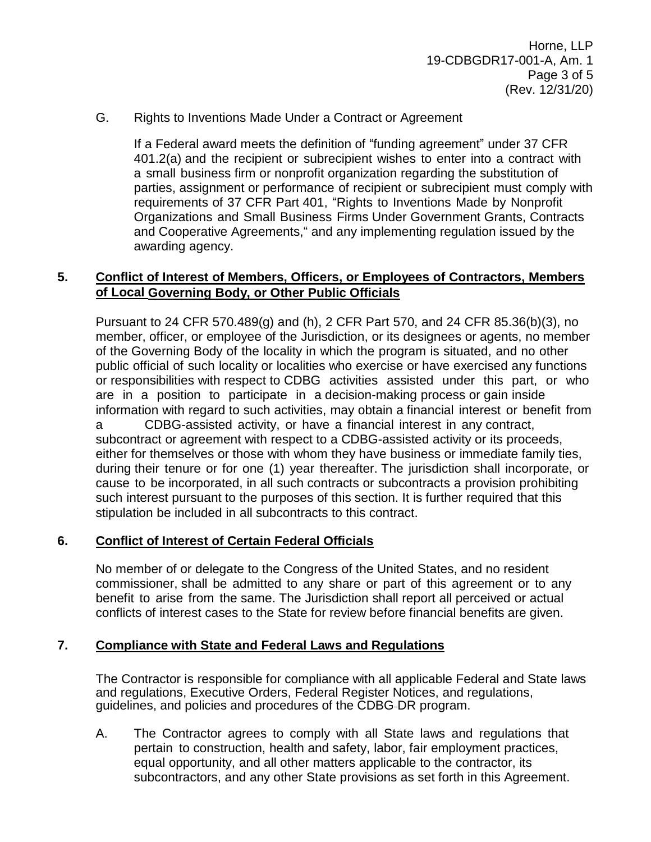## G. Rights to Inventions Made Under a Contract or Agreement

If a Federal award meets the definition of "funding agreement" under 37 CFR 401.2(a) and the recipient or subrecipient wishes to enter into a contract with a small business firm or nonprofit organization regarding the substitution of parties, assignment or performance of recipient or subrecipient must comply with requirements of 37 CFR Part 401, "Rights to Inventions Made by Nonprofit Organizations and Small Business Firms Under Government Grants, Contracts and Cooperative Agreements, and any implementing regulation issued by the awarding agency.

## **5. Conflict of Interest of Members, Officers, or Employees of Contractors, Members of Local Governing Body, or Other Public Officials**

Pursuant to 24 CFR 570.489(g) and (h), 2 CFR Part 570, and 24 CFR 85.36(b)(3), no member, officer, or employee of the Jurisdiction, or its designees or agents, no member of the Governing Body of the locality in which the program is situated, and no other public official of such locality or localities who exercise or have exercised any functions or responsibilities with respect to CDBG activities assisted under this part, or who are in a position to participate in a decision-making process or gain inside information with regard to such activities, may obtain a financial interest or benefit from a CDBG-assisted activity, or have a financial interest in any contract, subcontract or agreement with respect to a CDBG-assisted activity or its proceeds, either for themselves or those with whom they have business or immediate family ties, during their tenure or for one (1) year thereafter. The jurisdiction shall incorporate, or cause to be incorporated, in all such contracts or subcontracts a provision prohibiting such interest pursuant to the purposes of this section. It is further required that this stipulation be included in all subcontracts to this contract.

## **6. Conflict of Interest of Certain Federal Officials**

No member of or delegate to the Congress of the United States, and no resident commissioner, shall be admitted to any share or part of this agreement or to any benefit to arise from the same. The Jurisdiction shall report all perceived or actual conflicts of interest cases to the State for review before financial benefits are given.

### **7. Compliance with State and Federal Laws and Regulations**

The Contractor is responsible for compliance with all applicable Federal and State laws and regulations, Executive Orders, Federal Register Notices, and regulations, guidelines, and policies and procedures of the CDBG DR program.

A. The Contractor agrees to comply with all State laws and regulations that pertain to construction, health and safety, labor, fair employment practices, equal opportunity, and all other matters applicable to the contractor, its subcontractors, and any other State provisions as set forth in this Agreement.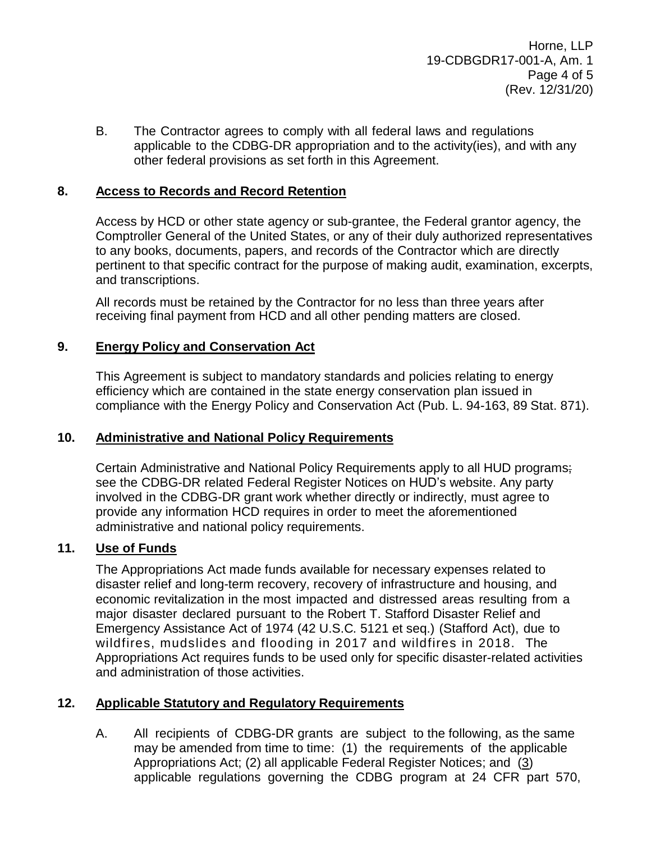Horne, LLP 19-CDBGDR17-001-A, Am. 1 Page 4 of 5 (Rev. 12/31/20)

B. The Contractor agrees to comply with all federal laws and regulations applicable to the CDBG-DR appropriation and to the activity(ies), and with any other federal provisions as set forth in this Agreement.

## **8. Access to Records and Record Retention**

Access by HCD or other state agency or sub-grantee, the Federal grantor agency, the Comptroller General of the United States, or any of their duly authorized representatives to any books, documents, papers, and records of the Contractor which are directly pertinent to that specific contract for the purpose of making audit, examination, excerpts, and transcriptions.

All records must be retained by the Contractor for no less than three years after receiving final payment from HCD and all other pending matters are closed.

## **9. Energy Policy and Conservation Act**

This Agreement is subject to mandatory standards and policies relating to energy efficiency which are contained in the state energy conservation plan issued in compliance with the Energy Policy and Conservation Act (Pub. L. 94-163, 89 Stat. 871).

### **10. Administrative and National Policy Requirements**

Certain Administrative and National Policy Requirements apply to all HUD programs; see the CDBG-DR related Federal Register Notices on HUD's website. Any party involved in the CDBG-DR grant work whether directly or indirectly, must agree to provide any information HCD requires in order to meet the aforementioned administrative and national policy requirements.

## **11. Use of Funds**

The Appropriations Act made funds available for necessary expenses related to disaster relief and long-term recovery, recovery of infrastructure and housing, and economic revitalization in the most impacted and distressed areas resulting from a major disaster declared pursuant to the Robert T. Stafford Disaster Relief and Emergency Assistance Act of 1974 (42 U.S.C. 5121 et seq.) (Stafford Act), due to wildfires, mudslides and flooding in 2017 and wildfires in 2018. The Appropriations Act requires funds to be used only for specific disaster-related activities and administration of those activities.

### **12. Applicable Statutory and Regulatory Requirements**

A. All recipients of CDBG-DR grants are subject to the following, as the same may be amended from time to time: (1) the requirements of the applicable Appropriations Act; (2) all applicable Federal Register Notices; and (3) applicable regulations governing the CDBG program at 24 CFR part 570,